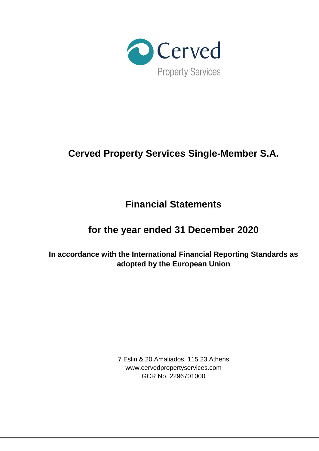

# **Cerved Property Services Single-Member S.A.**

**Financial Statements**

# **for the year ended 31 December 2020**

**In accordance with the International Financial Reporting Standards as adopted by the European Union**

> 7 Eslin & 20 Amaliados, 115 23 Athens www.cervedpropertyservices.com GCR No. 2296701000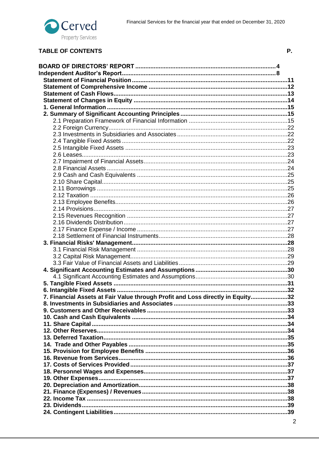

## **TABLE OF CONTENTS**

| I<br>٩ |  |
|--------|--|
|        |  |

| 7. Financial Assets at Fair Value through Profit and Loss directly in Equity32 |  |
|--------------------------------------------------------------------------------|--|
|                                                                                |  |
|                                                                                |  |
|                                                                                |  |
|                                                                                |  |
|                                                                                |  |
|                                                                                |  |
|                                                                                |  |
|                                                                                |  |
|                                                                                |  |
|                                                                                |  |
|                                                                                |  |
|                                                                                |  |
|                                                                                |  |
|                                                                                |  |
|                                                                                |  |
|                                                                                |  |
|                                                                                |  |
|                                                                                |  |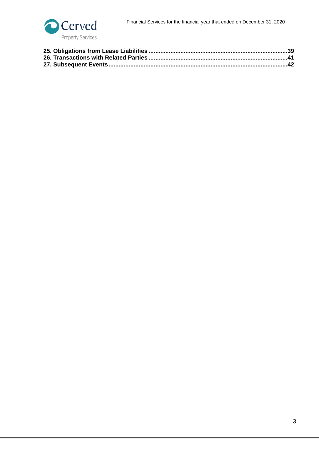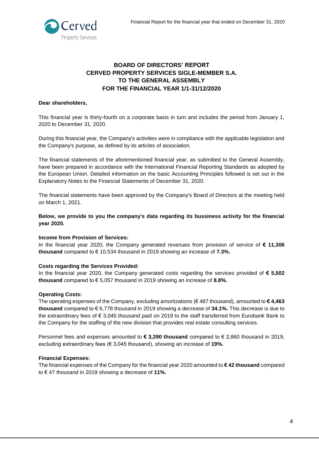

## **BOARD OF DIRECTORS' REPORT CERVED PROPERTY SERVICES SIGLE-MEMBER S.A. TO THE GENERAL ASSEMBLY FOR THE FINANCIAL YEAR 1/1-31/12/2020**

## <span id="page-3-0"></span>**Dear shareholders,**

This financial year is thirty-fourth on a corporate basis in turn and includes the period from January 1, 2020 to December 31, 2020.

During this financial year, the Company's activities were in compliance with the applicable legislation and the Company's purpose, as defined by its articles of association.

The financial statements of the aforementioned financial year, as submitted to the General Assembly, have been prepared in accordance with the International Financial Reporting Standards as adopted by the European Union. Detailed information on the basic Accounting Principles followed is set out in the Explanatory Notes to the Financial Statements of December 31, 2020.

The financial statements have been approved by the Company's Board of Directors at the meeting held on March 1, 2021.

**Below, we provide to you the company's data regarding its bussiness activity for the financial year 2020.**

## **Income from Provision of Services:**

In the financial year 2020, the Company generated revenues from provision of service of **€ 11,306 thousand** compared to € 10,534 thousand in 2019 showing an increase of **7.3%.**

#### **Costs regarding the Services Provided:**

In the financial year 2020, the Company generated costs regarding the services provided of **€ 5,502 thousand** compared to € 5,057 thousand in 2019 showing an increase of **8.8%.**

#### **Operating Costs:**

The operating expenses of the Company, excluding amortizations (€ 487 thousand), amounted to **€ 4,463 thousand** compared to € 6,778 thousand in 2019 showing a decrease of **34.1%.** This decrease is due to the extraordinary fees of € 3,045 thousand paid on 2019 to the staff transferred from Eurobank Bank to the Company for the staffing of the new division that provides real estate consulting services.

Personnel fees and expenses amounted to **€ 3,390 thousand** compared to € 2,860 thousand in 2019, excluding extraordinary fees (€ 3,045 thousand), showing an increase of **19%.**

#### **Financial Expenses:**

The financial expenses of the Company for the financial year 2020 amounted to **€ 42 thousand** compared to € 47 thousand in 2019 showing a decrease of **11%.**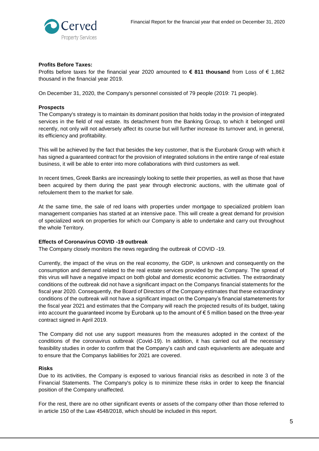

## **Profits Before Taxes:**

Profits before taxes for the financial year 2020 amounted to **€ 811 thousand** from Loss of € 1,862 thousand in the financial year 2019.

On December 31, 2020, the Company's personnel consisted of 79 people (2019: 71 people).

## **Prospects**

The Company's strategy is to maintain its dominant position that holds today in the provision of integrated services in the field of real estate. Its detachment from the Banking Group, to which it belonged until recently, not only will not adversely affect its course but will further increase its turnover and, in general, its efficiency and profitability.

This will be achieved by the fact that besides the key customer, that is the Eurobank Group with which it has signed a guaranteed contract for the provision of integrated solutions in the entire range of real estate business, it will be able to enter into more collaborations with third customers as well.

In recent times, Greek Banks are increasingly looking to settle their properties, as well as those that have been acquired by them during the past year through electronic auctions, with the ultimate goal of refoulement them to the market for sale.

At the same time, the sale of red loans with properties under mortgage to specialized problem loan management companies has started at an intensive pace. This will create a great demand for provision of specialized work on properties for which our Company is able to undertake and carry out throughout the whole Territory.

#### **Effects of Coronavirus COVID -19 outbreak**

The Company closely monitors the news regarding the outbreak of COVID -19.

Currently, the impact of the virus on the real economy, the GDP, is unknown and consequently on the consumption and demand related to the real estate services provided by the Company. The spread of this virus will have a negative impact on both global and domestic economic activities. The extraordinaty conditions of the outbreak did not have a significant impact on the Companys financial statements for the fiscal year 2020. Consequently, the Board of Directors of the Company estimates that these extraordinary conditions of the outbreak will not have a significant impact on the Company's financial stametements for the fiscal year 2021 and estimates that the Company will reach the projected results of its budget, taking into account the guaranteed income by Eurobank up to the amount of € 5 million based on the three-year contract signed in April 2019.

The Company did not use any support measures from the measures adopted in the context of the conditions of the coronavirus outbreak (Covid-19). In addition, it has carried out all the necessary feasibility studies in order to confirm that the Company's cash and cash equivanlents are adequate and to ensure that the Companys liabilities for 2021 are covered.

#### **Risks**

Due to its activities, the Company is exposed to various financial risks as described in note 3 of the Financial Statements. The Company's policy is to minimize these risks in order to keep the financial position of the Company unaffected.

For the rest, there are no other significant events or assets of the company other than those referred to in article 150 of the Law 4548/2018, which should be included in this report.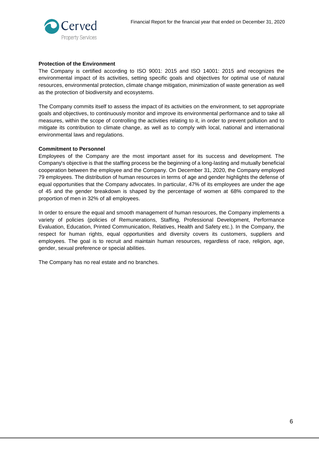

## **Protection of the Environment**

The Company is certified according to ISO 9001: 2015 and ISO 14001: 2015 and recognizes the environmental impact of its activities, setting specific goals and objectives for optimal use of natural resources, environmental protection, climate change mitigation, minimization of waste generation as well as the protection of biodiversity and ecosystems.

The Company commits itself to assess the impact of its activities on the environment, to set appropriate goals and objectives, to continuously monitor and improve its environmental performance and to take all measures, within the scope of controlling the activities relating to it, in order to prevent pollution and to mitigate its contribution to climate change, as well as to comply with local, national and international environmental laws and regulations.

#### **Commitment to Personnel**

Employees of the Company are the most important asset for its success and development. The Company's objective is that the staffing process be the beginning of a long-lasting and mutually beneficial cooperation between the employee and the Company. On December 31, 2020, the Company employed 79 employees. The distribution of human resources in terms of age and gender highlights the defense of equal opportunities that the Company advocates. In particular, 47% of its employees are under the age of 45 and the gender breakdown is shaped by the percentage of women at 68% compared to the proportion of men in 32% of all employees.

In order to ensure the equal and smooth management of human resources, the Company implements a variety of policies (policies of Remunerations, Staffing, Professional Development, Performance Evaluation, Education, Printed Communication, Relatives, Health and Safety etc.). In the Company, the respect for human rights, equal opportunities and diversity covers its customers, suppliers and employees. The goal is to recruit and maintain human resources, regardless of race, religion, age, gender, sexual preference or special abilities.

The Company has no real estate and no branches.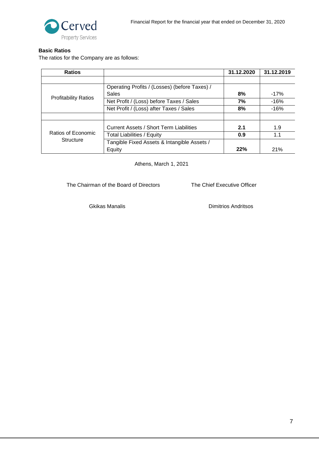

## **Basic Ratios**

The ratios for the Company are as follows:

| <b>Ratios</b>                           |                                                | 31.12.2020 | 31.12.2019 |
|-----------------------------------------|------------------------------------------------|------------|------------|
|                                         |                                                |            |            |
|                                         | Operating Profits / (Losses) (before Taxes) /  |            |            |
|                                         | Sales                                          | 8%         | $-17%$     |
| <b>Profitability Ratios</b>             | Net Profit / (Loss) before Taxes / Sales       | 7%         | $-16%$     |
| Net Profit / (Loss) after Taxes / Sales |                                                | 8%         | $-16%$     |
|                                         |                                                |            |            |
|                                         | <b>Current Assets / Short Term Liabilities</b> | 2.1        | 1.9        |
| Ratios of Economic                      | <b>Total Liabilities / Equity</b>              | 0.9        | 1.1        |
| Structure                               | Tangible Fixed Assets & Intangible Assets /    |            |            |
|                                         | Equity                                         | 22%        | 21%        |

Athens, March 1, 2021

The Chairman of the Board of Directors The Chief Executive Officer

Gkikas Manalis **Dimitrios Andritsos**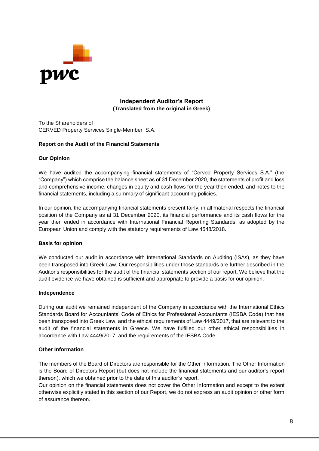

## **Independent Auditor's Report (Translated from the original in Greek)**

<span id="page-7-0"></span>To the Shareholders of CERVED Property Services Single-Member S.A.

#### **Report on the Audit of the Financial Statements**

#### **Our Opinion**

We have audited the accompanying financial statements of "Cerved Property Services S.A." (the "Company") which comprise the balance sheet as of 31 December 2020, the statements of profit and loss and comprehensive income, changes in equity and cash flows for the year then ended, and notes to the financial statements, including a summary of significant accounting policies.

In our opinion, the accompanying financial statements present fairly, in all material respects the financial position of the Company as at 31 December 2020, its financial performance and its cash flows for the year then ended in accordance with International Financial Reporting Standards, as adopted by the European Union and comply with the statutory requirements of Law 4548/2018.

#### **Basis for opinion**

We conducted our audit in accordance with International Standards on Auditing (ISAs), as they have been transposed into Greek Law. Our responsibilities under those standards are further described in the Auditor's responsibilities for the audit of the financial statements section of our report. We believe that the audit evidence we have obtained is sufficient and appropriate to provide a basis for our opinion.

#### **Independence**

During our audit we remained independent of the Company in accordance with the International Ethics Standards Board for Accountants' Code of Ethics for Professional Accountants (IESBA Code) that has been transposed into Greek Law, and the ethical requirements of Law 4449/2017, that are relevant to the audit of the financial statements in Greece. We have fulfilled our other ethical responsibilities in accordance with Law 4449/2017, and the requirements of the IESBA Code.

## **Other Information**

The members of the Board of Directors are responsible for the Other Information. The Other Information is the Board of Directors Report (but does not include the financial statements and our auditor's report thereon), which we obtained prior to the date of this auditor's report.

Our opinion on the financial statements does not cover the Other Information and except to the extent otherwise explicitly stated in this section of our Report, we do not express an audit opinion or other form of assurance thereon.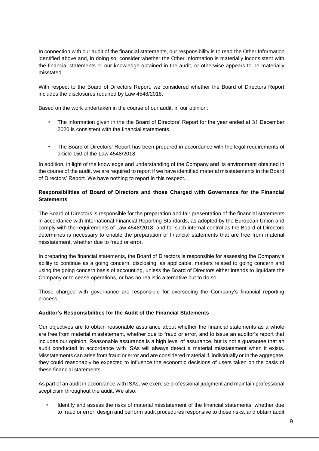In connection with our audit of the financial statements, our responsibility is to read the Other Information identified above and, in doing so, consider whether the Other Information is materially inconsistent with the financial statements or our knowledge obtained in the audit, or otherwise appears to be materially misstated.

With respect to the Board of Directors Report, we considered whether the Board of Directors Report includes the disclosures required by Law 4548/2018.

Based on the work undertaken in the course of our audit, in our opinion:

- The information given in the the Board of Directors' Report for the year ended at 31 December 2020 is consistent with the financial statements,
- The Board of Directors' Report has been prepared in accordance with the legal requirements of article 150 of the Law 4548/2018.

In addition, in light of the knowledge and understanding of the Company and its environment obtained in the course of the audit, we are required to report if we have identified material misstatements in the Board of Directors' Report. We have nothing to report in this respect.

## **Responsibilities of Board of Directors and those Charged with Governance for the Financial Statements**

The Board of Directors is responsible for the preparation and fair presentation of the financial statements in accordance with International Financial Reporting Standards, as adopted by the European Union and comply with the requirements of Law 4548/2018, and for such internal control as the Board of Directors determines is necessary to enable the preparation of financial statements that are free from material misstatement, whether due to fraud or error.

In preparing the financial statements, the Board of Directors is responsible for assessing the Company's ability to continue as a going concern, disclosing, as applicable, matters related to going concern and using the going concern basis of accounting, unless the Board of Directors either intends to liquidate the Company or to cease operations, or has no realistic alternative but to do so.

Those charged with governance are responsible for overseeing the Company's financial reporting process.

## **Auditor's Responsibilities for the Audit of the Financial Statements**

Our objectives are to obtain reasonable assurance about whether the financial statements as a whole are free from material misstatement, whether due to fraud or error, and to issue an auditor's report that includes our opinion. Reasonable assurance is a high level of assurance, but is not a guarantee that an audit conducted in accordance with ISAs will always detect a material misstatement when it exists. Misstatements can arise from fraud or error and are considered material if, individually or in the aggregate, they could reasonably be expected to influence the economic decisions of users taken on the basis of these financial statements.

As part of an audit in accordance with ISAs, we exercise professional judgment and maintain professional scepticism throughout the audit. We also:

• Identify and assess the risks of material misstatement of the financial statements, whether due to fraud or error, design and perform audit procedures responsive to those risks, and obtain audit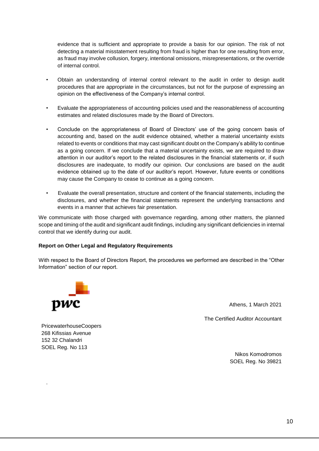evidence that is sufficient and appropriate to provide a basis for our opinion. The risk of not detecting a material misstatement resulting from fraud is higher than for one resulting from error, as fraud may involve collusion, forgery, intentional omissions, misrepresentations, or the override of internal control.

- Obtain an understanding of internal control relevant to the audit in order to design audit procedures that are appropriate in the circumstances, but not for the purpose of expressing an opinion on the effectiveness of the Company's internal control.
- Evaluate the appropriateness of accounting policies used and the reasonableness of accounting estimates and related disclosures made by the Board of Directors.
- Conclude on the appropriateness of Board of Directors' use of the going concern basis of accounting and, based on the audit evidence obtained, whether a material uncertainty exists related to events or conditions that may cast significant doubt on the Company's ability to continue as a going concern. If we conclude that a material uncertainty exists, we are required to draw attention in our auditor's report to the related disclosures in the financial statements or, if such disclosures are inadequate, to modify our opinion. Our conclusions are based on the audit evidence obtained up to the date of our auditor's report. However, future events or conditions may cause the Company to cease to continue as a going concern.
- Evaluate the overall presentation, structure and content of the financial statements, including the disclosures, and whether the financial statements represent the underlying transactions and events in a manner that achieves fair presentation.

We communicate with those charged with governance regarding, among other matters, the planned scope and timing of the audit and significant audit findings, including any significant deficiencies in internal control that we identify during our audit.

## **Report on Other Legal and Regulatory Requirements**

With respect to the Board of Directors Report, the procedures we performed are described in the "Other Information" section of our report.



Athens, 1 March 2021

The Certified Auditor Accountant

PricewaterhouseCoopers 268 Kifissias Avenue 152 32 Chalandri SOEL Reg. No 113

.

Nikos Komodromos SOEL Reg. No 39821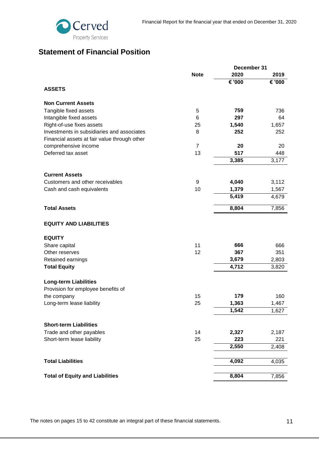

## <span id="page-10-0"></span>**Statement of Financial Position**

|                                              | December 31    |        |        |
|----------------------------------------------|----------------|--------|--------|
|                                              | <b>Note</b>    | 2020   | 2019   |
|                                              |                | € '000 | € '000 |
| <b>ASSETS</b>                                |                |        |        |
| <b>Non Current Assets</b>                    |                |        |        |
| Tangible fixed assets                        | 5              | 759    | 736    |
| Intangible fixed assets                      | 6              | 297    | 64     |
| Right-of-use fixes assets                    | 25             | 1,540  | 1,657  |
| Investments in subsidiaries and associates   | 8              | 252    | 252    |
| Financial assets at fair value through other |                |        |        |
| comprehensive income                         | $\overline{7}$ | 20     | 20     |
| Deferred tax asset                           | 13             | 517    | 448    |
|                                              |                | 3,385  | 3,177  |
| <b>Current Assets</b>                        |                |        |        |
| Customers and other receivables              | 9              | 4,040  | 3,112  |
| Cash and cash equivalents                    | 10             | 1,379  | 1,567  |
|                                              |                | 5,419  | 4,679  |
| <b>Total Assets</b>                          |                | 8,804  | 7,856  |
| <b>EQUITY AND LIABILITIES</b>                |                |        |        |
| <b>EQUITY</b>                                |                |        |        |
| Share capital                                | 11             | 666    | 666    |
| Other reserves                               | 12             | 367    | 351    |
| Retained earnings                            |                | 3,679  | 2,803  |
| <b>Total Equity</b>                          |                | 4,712  | 3,820  |
| <b>Long-term Liabilities</b>                 |                |        |        |
| Provision for employee benefits of           |                |        |        |
| the company                                  | 15             | 179    | 160    |
| Long-term lease liability                    | 25             | 1,363  | 1,467  |
|                                              |                | 1,542  | 1,627  |
| <b>Short-term Liabilities</b>                |                |        |        |
| Trade and other payables                     | 14             | 2,327  | 2,187  |
| Short-term lease liability                   | 25             | 223    | 221    |
|                                              |                | 2,550  | 2,408  |
| <b>Total Liabilities</b>                     |                | 4,092  | 4,035  |
| <b>Total of Equity and Liabilities</b>       |                | 8,804  | 7,856  |
|                                              |                |        |        |

The notes on pages 15 to 42 constitute an integral part of these financial statements. 11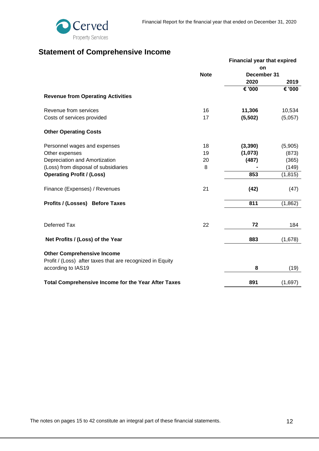

## <span id="page-11-0"></span>**Statement of Comprehensive Income**

|                                                            | <b>Financial year that expired</b> |             |          |  |
|------------------------------------------------------------|------------------------------------|-------------|----------|--|
|                                                            |                                    | on          |          |  |
|                                                            | <b>Note</b>                        | December 31 |          |  |
|                                                            |                                    | 2020        | 2019     |  |
|                                                            |                                    | € '000      | € '000   |  |
| <b>Revenue from Operating Activities</b>                   |                                    |             |          |  |
| Revenue from services                                      | 16                                 | 11,306      | 10,534   |  |
| Costs of services provided                                 | 17                                 | (5,502)     | (5,057)  |  |
| <b>Other Operating Costs</b>                               |                                    |             |          |  |
| Personnel wages and expenses                               | 18                                 | (3,390)     | (5,905)  |  |
| Other expenses                                             | 19                                 | (1,073)     | (873)    |  |
| Depreciation and Amortization                              | 20                                 | (487)       | (365)    |  |
| (Loss) from disposal of subsidiaries                       | 8                                  |             | (149)    |  |
| <b>Operating Profit / (Loss)</b>                           |                                    | 853         | (1, 815) |  |
| Finance (Expenses) / Revenues                              | 21                                 | (42)        | (47)     |  |
| Profits / (Losses) Before Taxes                            |                                    | 811         | (1,862)  |  |
|                                                            |                                    |             |          |  |
| Deferred Tax                                               | 22                                 | 72          | 184      |  |
| Net Profits / (Loss) of the Year                           |                                    | 883         | (1,678)  |  |
| <b>Other Comprehensive Income</b>                          |                                    |             |          |  |
| Profit / (Loss) after taxes that are recognized in Equity  |                                    |             |          |  |
| according to IAS19                                         |                                    | 8           | (19)     |  |
| <b>Total Comprehensive Income for the Year After Taxes</b> |                                    | 891         | (1,697)  |  |

The notes on pages 15 to 42 constitute an integral part of these financial statements. 12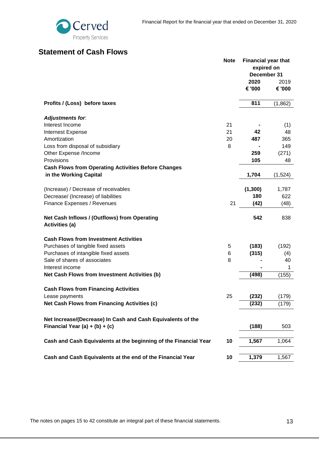

## <span id="page-12-0"></span>**Statement of Cash Flows**

|                                                                  | <b>Note</b><br><b>Financial year that</b><br>expired on<br>December 31 |          |         |
|------------------------------------------------------------------|------------------------------------------------------------------------|----------|---------|
|                                                                  |                                                                        | 2020     | 2019    |
|                                                                  |                                                                        | € '000   | € '000  |
| Profits / (Loss) before taxes                                    |                                                                        | 811      | (1,862) |
| <b>Adjustments for.</b>                                          |                                                                        |          |         |
| Interest Income                                                  | 21                                                                     |          | (1)     |
| <b>Internest Expense</b>                                         | 21                                                                     | 42       | 48      |
| Amortization                                                     | 20                                                                     | 487      | 365     |
| Loss from disposal of subsidiary                                 | 8                                                                      |          | 149     |
| Other Expense /Income                                            |                                                                        | 259      | (271)   |
| Provisions                                                       |                                                                        | 105      | 48      |
| <b>Cash Flows from Operating Activities Before Changes</b>       |                                                                        |          |         |
| in the Working Capital                                           |                                                                        | 1,704    | (1,524) |
| (Increase) / Decrease of receivables                             |                                                                        | (1, 300) | 1,787   |
| Decrease/ (Increase) of liabilities                              |                                                                        | 180      | 622     |
| Finance Expenses / Revenues                                      | 21                                                                     | (42)     | (48)    |
| Net Cash Inflows / (Outflows) from Operating<br>Activities (a)   |                                                                        | 542      | 838     |
| <b>Cash Flows from Investment Activities</b>                     |                                                                        |          |         |
| Purchases of tangible fixed assets                               | 5                                                                      | (183)    | (192)   |
| Purchases of intangible fixed assets                             | 6                                                                      | (315)    | (4)     |
| Sale of shares of associates                                     | 8                                                                      |          | 40      |
| Interest income                                                  |                                                                        |          | 1       |
| Net Cash Flows from Investment Activities (b)                    |                                                                        | (498)    | (155)   |
| <b>Cash Flows from Financing Activities</b>                      |                                                                        |          |         |
| Lease payments                                                   | 25                                                                     | (232)    | (179)   |
| <b>Net Cash Flows from Financing Activities (c)</b>              |                                                                        | (232)    | (179)   |
|                                                                  |                                                                        |          |         |
| Net Increase/(Decrease) In Cash and Cash Equivalents of the      |                                                                        |          |         |
| Financial Year (a) + (b) + (c)                                   |                                                                        | (188)    | 503     |
| Cash and Cash Equivalents at the beginning of the Financial Year | 10                                                                     | 1,567    | 1,064   |
| Cash and Cash Equivalents at the end of the Financial Year       | 10                                                                     | 1,379    | 1,567   |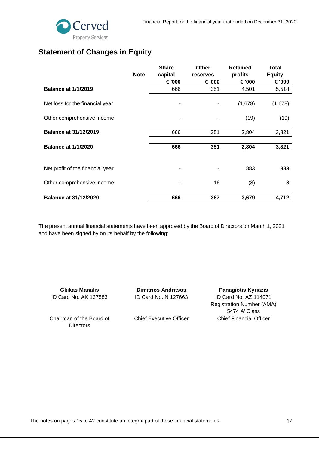## <span id="page-13-0"></span>**Statement of Changes in Equity**

|                                  | <b>Note</b> | <b>Share</b><br>capital<br>€ '000 | Other<br><b>reserves</b><br>€ '000 | <b>Retained</b><br>profits<br>€ '000 | <b>Total</b><br><b>Equity</b><br>€ '000 |
|----------------------------------|-------------|-----------------------------------|------------------------------------|--------------------------------------|-----------------------------------------|
| <b>Balance at 1/1/2019</b>       |             | 666                               | 351                                | 4,501                                | 5,518                                   |
| Net loss for the financial year  |             | -                                 | $\overline{\phantom{a}}$           | (1,678)                              | (1,678)                                 |
| Other comprehensive income       |             |                                   |                                    | (19)                                 | (19)                                    |
| <b>Balance at 31/12/2019</b>     |             | 666                               | 351                                | 2,804                                | 3,821                                   |
| <b>Balance at 1/1/2020</b>       |             | 666                               | 351                                | 2,804                                | 3,821                                   |
| Net profit of the financial year |             |                                   |                                    | 883                                  | 883                                     |
| Other comprehensive income       |             | -                                 | 16                                 | (8)                                  | 8                                       |
| <b>Balance at 31/12/2020</b>     |             | 666                               | 367                                | 3,679                                | 4,712                                   |

The present annual financial statements have been approved by the Board of Directors on March 1, 2021 and have been signed by on its behalf by the following:

**Gkikas Manalis** ID Card No. AK 137583

**Dimitrios Andritsos** ID Card No. N 127663

**Panagiotis Kyriazis** ID Card No. AZ 114071 Registration Number (AMA) 5474 A' Class Chief Financial Officer

Chairman of the Board of Directors

Chief Executive Officer

The notes on pages 15 to 42 constitute an integral part of these financial statements. 14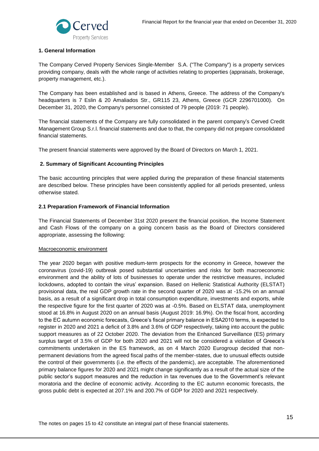

#### <span id="page-14-0"></span>**1. General Information**

The Company Cerved Property Services Single-Member S.A. ("The Company") is a property services providing company, deals with the whole range of activities relating to properties (appraisals, brokerage, property management, etc.).

The Company has been established and is based in Athens, Greece. The address of the Company's headquarters is 7 Eslin & 20 Amaliados Str., GR115 23, Athens, Greece (GCR 2296701000). On December 31, 2020, the Company's personnel consisted of 79 people (2019: 71 people).

The financial statements of the Company are fully consolidated in the parent company's Cerved Credit Management Group S.r.l. financial statements and due to that, the company did not prepare consolidated financial statements.

The present financial statements were approved by the Board of Directors on March 1, 2021.

## <span id="page-14-1"></span>**2. Summary of Significant Accounting Principles**

The basic accounting principles that were applied during the preparation of these financial statements are described below. These principles have been consistently applied for all periods presented, unless otherwise stated.

#### <span id="page-14-2"></span>**2.1 Preparation Framework of Financial Information**

The Financial Statements of December 31st 2020 present the financial position, the Income Statement and Cash Flows of the company on a going concern basis as the Board of Directors considered appropriate, assessing the following:

#### Macroeconomic environment

The year 2020 began with positive medium-term prospects for the economy in Greece, however the coronavirus (covid-19) outbreak posed substantial uncertainties and risks for both macroeconomic environment and the ability of lots of businesses to operate under the restrictive measures, included lockdowns, adopted to contain the virus' expansion. Based on Hellenic Statistical Authority (ELSTAT) provisional data, the real GDP growth rate in the second quarter of 2020 was at -15.2% on an annual basis, as a result of a significant drop in total consumption expenditure, investments and exports, while the respective figure for the first quarter of 2020 was at -0.5%. Based on ELSTAT data, unemployment stood at 16.8% in August 2020 on an annual basis (August 2019: 16.9%). On the fiscal front, according to the EC autumn economic forecasts, Greece's fiscal primary balance in ESA2010 terms, is expected to register in 2020 and 2021 a deficit of 3.8% and 3.6% of GDP respectively, taking into account the public support measures as of 22 October 2020. The deviation from the Enhanced Surveillance (ES) primary surplus target of 3.5% of GDP for both 2020 and 2021 will not be considered a violation of Greece's commitments undertaken in the ES framework, as on 4 March 2020 Eurogroup decided that nonpermanent deviations from the agreed fiscal paths of the member-states, due to unusual effects outside the control of their governments (i.e. the effects of the pandemic), are acceptable. The aforementioned primary balance figures for 2020 and 2021 might change significantly as a result of the actual size of the public sector's support measures and the reduction in tax revenues due to the Government's relevant moratoria and the decline of economic activity. According to the EC autumn economic forecasts, the gross public debt is expected at 207.1% and 200.7% of GDP for 2020 and 2021 respectively.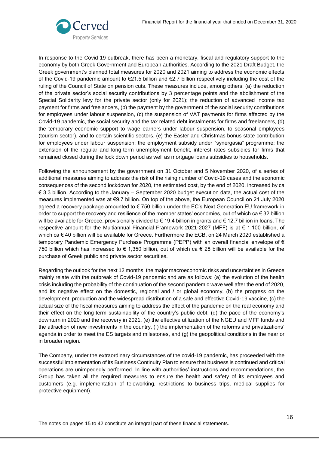

In response to the Covid-19 outbreak, there has been a monetary, fiscal and regulatory support to the economy by both Greek Government and European authorities. According to the 2021 Draft Budget, the Greek government's planned total measures for 2020 and 2021 aiming to address the economic effects of the Covid-19 pandemic amount to €21.5 billion and €2.7 billion respectively including the cost of the ruling of the Council of State on pension cuts. These measures include, among others: (a) the reduction of the private sector's social security contributions by 3 percentage points and the abolishment of the Special Solidarity levy for the private sector (only for 2021); the reduction of advanced income tax payment for firms and freelancers, (b) the payment by the government of the social security contributions for employees under labour suspension, (c) the suspension of VAT payments for firms affected by the Covid-19 pandemic, the social security and the tax related debt instalments for firms and freelancers, (d) the temporary economic support to wage earners under labour suspension, to seasonal employees (tourism sector), and to certain scientific sectors, (e) the Easter and Christmas bonus state contribution for employees under labour suspension; the employment subsidy under "synergasia" programme; the extension of the regular and long-term unemployment benefit, interest rates subsidies for firms that remained closed during the lock down period as well as mortgage loans subsidies to households.

Following the announcement by the government on 31 October and 5 November 2020, of a series of additional measures aiming to address the risk of the rising number of Covid-19 cases and the economic consequences of the second lockdown for 2020, the estimated cost, by the end of 2020, increased by ca € 3.3 billion. According to the January – September 2020 budget execution data, the actual cost of the measures implemented was at €9.7 billion. On top of the above, the European Council on 21 July 2020 agreed a recovery package amounted to € 750 billion under the EC's Next Generation EU framework in order to support the recovery and resilience of the member states' economies, out of which ca € 32 billion will be available for Greece, provisionally divided to € 19.4 billion in grants and € 12.7 billion in loans. The respective amount for the Multiannual Financial Framework 2021-2027 (MFF) is at € 1,100 billion, of which ca € 40 billion will be available for Greece. Furthermore the ECB, on 24 March 2020 established a temporary Pandemic Emergency Purchase Programme (PEPP) with an overall financial envelope of € 750 billion which has increased to  $\epsilon$  1,350 billion, out of which ca  $\epsilon$  28 billion will be available for the purchase of Greek public and private sector securities.

Regarding the outlook for the next 12 months, the major macroeconomic risks and uncertainties in Greece mainly relate with the outbreak of Covid-19 pandemic and are as follows: (a) the evolution of the health crisis including the probability of the continuation of the second pandemic wave well after the end of 2020, and its negative effect on the domestic, regional and / or global economy, (b) the progress on the development, production and the widespread distribution of a safe and effective Covid-19 vaccine, (c) the actual size of the fiscal measures aiming to address the effect of the pandemic on the real economy and their effect on the long-term sustainability of the country's public debt, (d) the pace of the economy's downturn in 2020 and the recovery in 2021, (e) the effective utilization of the NGEU and MFF funds and the attraction of new investments in the country, (f) the implementation of the reforms and privatizations' agenda in order to meet the ES targets and milestones, and (g) the geopolitical conditions in the near or in broader region.

The Company, under the extraordinary circumstances of the covid-19 pandemic, has proceeded with the successful implementation of its Business Continuity Plan to ensure that business is continued and critical operations are unimpededly performed. In line with authorities' instructions and recommendations, the Group has taken all the required measures to ensure the health and safety of its employees and customers (e.g. implementation of teleworking, restrictions to business trips, medical supplies for protective equipment).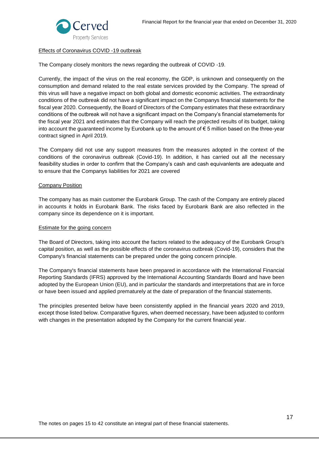

#### Effects of Coronavirus COVID -19 outbreak

The Company closely monitors the news regarding the outbreak of COVID -19.

Currently, the impact of the virus on the real economy, the GDP, is unknown and consequently on the consumption and demand related to the real estate services provided by the Company. The spread of this virus will have a negative impact on both global and domestic economic activities. The extraordinaty conditions of the outbreak did not have a significant impact on the Companys financial statements for the fiscal year 2020. Consequently, the Board of Directors of the Company estimates that these extraordinary conditions of the outbreak will not have a significant impact on the Company's financial stametements for the fiscal year 2021 and estimates that the Company will reach the projected results of its budget, taking into account the guaranteed income by Eurobank up to the amount of € 5 million based on the three-year contract signed in April 2019.

The Company did not use any support measures from the measures adopted in the context of the conditions of the coronavirus outbreak (Covid-19). In addition, it has carried out all the necessary feasibility studies in order to confirm that the Company's cash and cash equivanlents are adequate and to ensure that the Companys liabilities for 2021 are covered

#### Company Position

The company has as main customer the Eurobank Group. The cash of the Company are entirely placed in accounts it holds in Eurobank Bank. The risks faced by Eurobank Bank are also reflected in the company since its dependence on it is important.

#### Estimate for the going concern

The Board of Directors, taking into account the factors related to the adequacy of the Eurobank Group's capital position, as well as the possible effects of the coronavirus outbreak (Covid-19), considers that the Company's financial statements can be prepared under the going concern principle.

The Company's financial statements have been prepared in accordance with the International Financial Reporting Standards (IFRS) approved by the International Accounting Standards Board and have been adopted by the European Union (EU), and in particular the standards and interpretations that are in force or have been issued and applied prematurely at the date of preparation of the financial statements.

The principles presented below have been consistently applied in the financial years 2020 and 2019, except those listed below. Comparative figures, when deemed necessary, have been adjusted to conform with changes in the presentation adopted by the Company for the current financial year.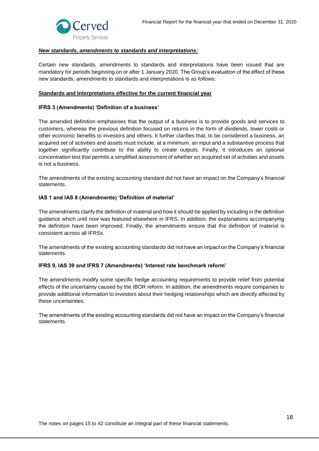

#### *New standards, amendments to standards and interpretations:*

Certain new standards, amendments to standards and interpretations have been issued that are mandatory for periods beginning on or after 1 January 2020. The Group's evaluation of the effect of these new standards, amendments to standards and interpretations is as follows:

#### **Standards and Interpretations effective for the current financial year**

#### **IFRS 3 (Amendments) 'Definition of a business'**

The amended definition emphasises that the output of a business is to provide goods and services to customers, whereas the previous definition focused on returns in the form of dividends, lower costs or other economic benefits to investors and others. It further clarifies that, to be considered a business, an acquired set of activities and assets must include, at a minimum, an input and a substantive process that together significantly contribute to the ability to create outputs. Finally, it introduces an optional concentration test that permits a simplified assessment of whether an acquired set of activities and assets is not a business.

The amendments of the existing accounting standard did not have an impact on the Company's financial statements.

#### **IAS 1 and IAS 8 (Amendments) 'Definition of material'**

The amendments clarify the definition of material and how it should be applied by including in the definition guidance which until now was featured elsewhere in IFRS. In addition, the explanations accompanying the definition have been improved. Finally, the amendments ensure that the definition of material is consistent across all IFRSs.

The amendments of the existing accounting standardσ did not have an impact on the Company's financial statements.

#### **IFRS 9, IAS 39 and IFRS 7 (Amendments) 'Interest rate benchmark reform'**

The amendments modify some specific hedge accounting requirements to provide relief from potential effects of the uncertainty caused by the IBOR reform. In addition, the amendments require companies to provide additional information to investors about their hedging relationships which are directly affected by these uncertainties.

The amendments of the existing accounting standards did not have an impact on the Company's financial statements.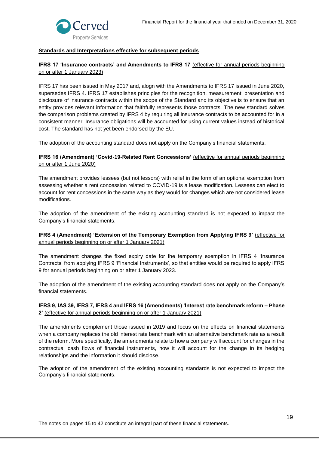

## **Standards and Interpretations effective for subsequent periods**

**IFRS 17 'Insurance contracts' and Amendments to IFRS 17** (effective for annual periods beginning on or after 1 January 2023)

IFRS 17 has been issued in May 2017 and, alogn with the Amendments to IFRS 17 issued in June 2020, supersedes IFRS 4. IFRS 17 establishes principles for the recognition, measurement, presentation and disclosure of insurance contracts within the scope of the Standard and its objective is to ensure that an entity provides relevant information that faithfully represents those contracts. The new standard solves the comparison problems created by IFRS 4 by requiring all insurance contracts to be accounted for in a consistent manner. Insurance obligations will be accounted for using current values instead of historical cost. The standard has not yet been endorsed by the EU.

The adoption of the accounting standard does not apply on the Company's financial statements.

## **IFRS 16 (Amendment) 'Covid-19-Related Rent Concessions'** (effective for annual periods beginning on or after 1 June 2020)

The amendment provides lessees (but not lessors) with relief in the form of an optional exemption from assessing whether a rent concession related to COVID-19 is a lease modification. Lessees can elect to account for rent concessions in the same way as they would for changes which are not considered lease modifications.

The adoption of the amendment of the existing accounting standard is not expected to impact the Company's financial statements.

## **IFRS 4 (Amendment) 'Extension of the Temporary Exemption from Applying IFRS 9'** (effective for annual periods beginning on or after 1 January 2021)

The amendment changes the fixed expiry date for the temporary exemption in IFRS 4 'Insurance Contracts' from applying IFRS 9 'Financial Instruments', so that entities would be required to apply IFRS 9 for annual periods beginning on or after 1 January 2023.

The adoption of the amendment of the existing accounting standard does not apply on the Company's financial statements.

## **IFRS 9, IAS 39, IFRS 7, IFRS 4 and IFRS 16 (Amendments) 'Interest rate benchmark reform – Phase 2'** (effective for annual periods beginning on or after 1 January 2021)

The amendments complement those issued in 2019 and focus on the effects on financial statements when a company replaces the old interest rate benchmark with an alternative benchmark rate as a result of the reform. More specifically, the amendments relate to how a company will account for changes in the contractual cash flows of financial instruments, how it will account for the change in its hedging relationships and the information it should disclose.

The adoption of the amendment of the existing accounting standards is not expected to impact the Company's financial statements.

The notes on pages 15 to 42 constitute an integral part of these financial statements.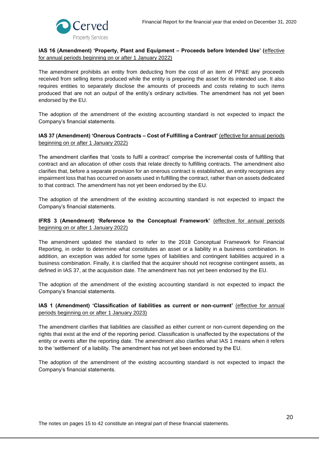

## **IAS 16 (Amendment) 'Property, Plant and Equipment – Proceeds before Intended Use' (**effective for annual periods beginning on or after 1 January 2022)

The amendment prohibits an entity from deducting from the cost of an item of PP&E any proceeds received from selling items produced while the entity is preparing the asset for its intended use. It also requires entities to separately disclose the amounts of proceeds and costs relating to such items produced that are not an output of the entity's ordinary activities. The amendment has not yet been endorsed by the EU.

The adoption of the amendment of the existing accounting standard is not expected to impact the Company's financial statements.

## **IAS 37 (Amendment) 'Onerous Contracts – Cost of Fulfilling a Contract'** (effective for annual periods beginning on or after 1 January 2022)

The amendment clarifies that 'costs to fulfil a contract' comprise the incremental costs of fulfilling that contract and an allocation of other costs that relate directly to fulfilling contracts. The amendment also clarifies that, before a separate provision for an onerous contract is established, an entity recognises any impairment loss that has occurred on assets used in fulfilling the contract, rather than on assets dedicated to that contract. The amendment has not yet been endorsed by the EU.

The adoption of the amendment of the existing accounting standard is not expected to impact the Company's financial statements.

## **IFRS 3 (Amendment) 'Reference to the Conceptual Framework' (effective for annual periods** beginning on or after 1 January 2022)

The amendment updated the standard to refer to the 2018 Conceptual Framework for Financial Reporting, in order to determine what constitutes an asset or a liability in a business combination. In addition, an exception was added for some types of liabilities and contingent liabilities acquired in a business combination. Finally, it is clarified that the acquirer should not recognise contingent assets, as defined in IAS 37, at the acquisition date. The amendment has not yet been endorsed by the EU.

The adoption of the amendment of the existing accounting standard is not expected to impact the Company's financial statements.

## **IAS 1 (Amendment) 'Classification of liabilities as current or non-current'** (effective for annual periods beginning on or after 1 January 2023)

The amendment clarifies that liabilities are classified as either current or non-current depending on the rights that exist at the end of the reporting period. Classification is unaffected by the expectations of the entity or events after the reporting date. The amendment also clarifies what IAS 1 means when it refers to the 'settlement' of a liability. The amendment has not yet been endorsed by the EU.

The adoption of the amendment of the existing accounting standard is not expected to impact the Company's financial statements.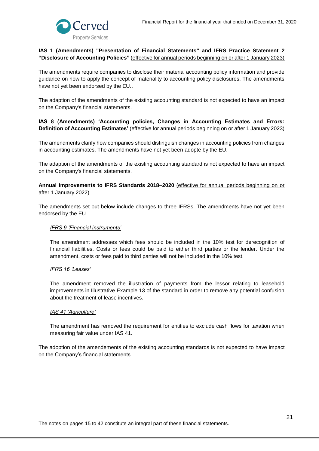

## **IAS 1 (Amendments) "Presentation of Financial Statements" and IFRS Practice Statement 2 "Disclosure of Accounting Policies"** (effective for annual periods beginning on or after 1 January 2023)

The amendments require companies to disclose their material accounting policy information and provide guidance on how to apply the concept of materiality to accounting policy disclosures. The amendments have not yet been endorsed by the EU..

The adaption of the amendments of the existing accounting standard is not expected to have an impact on the Company's financial statements.

## **IAS 8 (Amendments) 'Accounting policies, Changes in Accounting Estimates and Errors: Definition of Accounting Estimates'** (effective for annual periods beginning on or after 1 January 2023)

The amendments clarify how companies should distinguish changes in accounting policies from changes in accounting estimates. The amendments have not yet been adopte by the EU.

The adaption of the amendments of the existing accounting standard is not expected to have an impact on the Company's financial statements.

**Annual Improvements to IFRS Standards 2018–2020** (effective for annual periods beginning on or after 1 January 2022)

The amendments set out below include changes to three IFRSs. The amendments have not yet been endorsed by the EU.

## *IFRS 9 'Financial instruments'*

The amendment addresses which fees should be included in the 10% test for derecognition of financial liabilities. Costs or fees could be paid to either third parties or the lender. Under the amendment, costs or fees paid to third parties will not be included in the 10% test.

## *IFRS 16 'Leases'*

The amendment removed the illustration of payments from the lessor relating to leasehold improvements in Illustrative Example 13 of the standard in order to remove any potential confusion about the treatment of lease incentives.

#### *IAS 41 'Agriculture'*

The amendment has removed the requirement for entities to exclude cash flows for taxation when measuring fair value under IAS 41.

The adoption of the amendements of the existing accounting standards is not expected to have impact on the Company's financial statements.

The notes on pages 15 to 42 constitute an integral part of these financial statements.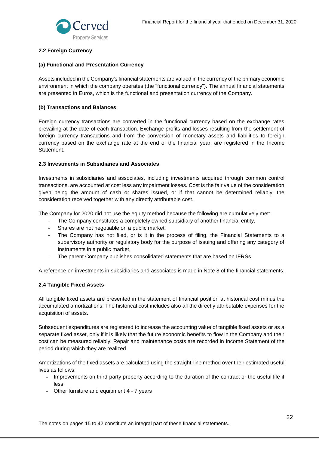

## <span id="page-21-0"></span>**2.2 Foreign Currency**

## **(a) Functional and Presentation Currency**

Assets included in the Company's financial statements are valued in the currency of the primary economic environment in which the company operates (the "functional currency"). The annual financial statements are presented in Euros, which is the functional and presentation currency of the Company.

## **(b) Transactions and Balances**

Foreign currency transactions are converted in the functional currency based on the exchange rates prevailing at the date of each transaction. Exchange profits and losses resulting from the settlement of foreign currency transactions and from the conversion of monetary assets and liabilities to foreign currency based on the exchange rate at the end of the financial year, are registered in the Income Statement.

## <span id="page-21-1"></span>**2.3 Investments in Subsidiaries and Associates**

Investments in subsidiaries and associates, including investments acquired through common control transactions, are accounted at cost less any impairment losses. Cost is the fair value of the consideration given being the amount of cash or shares issued, or if that cannot be determined reliably, the consideration received together with any directly attributable cost.

The Company for 2020 did not use the equity method because the following are cumulatively met:

- The Company constitutes a completely owned subsidiary of another financial entity,
- Shares are not negotiable on a public market,
- The Company has not filed, or is it in the process of filing, the Financial Statements to a supervisory authority or regulatory body for the purpose of issuing and offering any category of instruments in a public market,
- The parent Company publishes consolidated statements that are based on IFRSs.

A reference on investments in subsidiaries and associates is made in Note 8 of the financial statements.

## <span id="page-21-2"></span>**2.4 Tangible Fixed Assets**

All tangible fixed assets are presented in the statement of financial position at historical cost minus the accumulated amortizations. The historical cost includes also all the directly attributable expenses for the acquisition of assets.

Subsequent expenditures are registered to increase the accounting value of tangible fixed assets or as a separate fixed asset, only if it is likely that the future economic benefits to flow in the Company and their cost can be measured reliably. Repair and maintenance costs are recorded in Income Statement of the period during which they are realized.

Amortizations of the fixed assets are calculated using the straight-line method over their estimated useful lives as follows:

- Improvements on third-party property according to the duration of the contract or the useful life if less
- Other furniture and equipment 4 7 years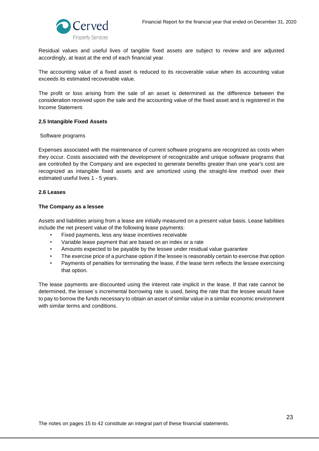

Residual values and useful lives of tangible fixed assets are subject to review and are adjusted accordingly, at least at the end of each financial year.

The accounting value of a fixed asset is reduced to its recoverable value when its accounting value exceeds its estimated recoverable value.

The profit or loss arising from the sale of an asset is determined as the difference between the consideration received upon the sale and the accounting value of the fixed asset and is registered in the Income Statement.

#### <span id="page-22-0"></span>**2.5 Intangible Fixed Assets**

#### Software programs

Expenses associated with the maintenance of current software programs are recognized as costs when they occur. Costs associated with the development of recognizable and unique software programs that are controlled by the Company and are expected to generate benefits greater than one year's cost are recognized as intangible fixed assets and are amortized using the straight-line method over their estimated useful lives 1 - 5 years.

#### <span id="page-22-1"></span>**2.6 Leases**

#### **The Company as a lessee**

Assets and liabilities arising from a lease are initially measured on a present value basis. Lease liabilities include the net present value of the following lease payments:

- Fixed payments, less any lease incentives receivable
- Variable lease payment that are based on an index or a rate
- Amounts expected to be payable by the lessee under residual value guarantee
- The exercise price of a purchase option if the lessee is reasonably certain to exercise that option
- Payments of penalties for terminating the lease, if the lease term reflects the lessee exercising that option.

The lease payments are discounted using the interest rate implicit in the lease. If that rate cannot be determined, the lessee`s incremental borrowing rate is used, being the rate that the lessee would have to pay to borrow the funds necessary to obtain an asset of similar value in a similar economic environment with similar terms and conditions.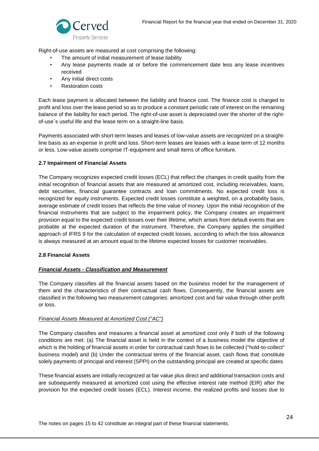

Right-of-use assets are measured at cost comprising the following:

- The amount of initial measurement of lease liability
- Any lease payments made at or before the commencement date less any lease incentives received
- Any initial direct costs
- Restoration costs

Each lease payment is allocated between the liability and finance cost. The finance cost is charged to profit and loss over the lease period so as to produce a constant periodic rate of interest on the remaining balance of the liability for each period. The right-of-use asset is depreciated over the shorter of the rightof-use`s useful life and the lease term on a straight-line basis.

Payments associated with short-term leases and leases of low-value assets are recognized on a straightline basis as an expense in profit and loss. Short-term leases are leases with a lease term of 12 months or less. Low-value assets comprise IT-equipment and small items of office furniture.

#### <span id="page-23-0"></span>**2.7 Impairment of Financial Assets**

The Company recognizes expected credit losses (ECL) that reflect the changes in credit quality from the initial recognition of financial assets that are measured at amortized cost, including receivables, loans, debt securities, financial guarantee contracts and loan commitments. No expected credit loss is recognized for equity instruments. Expected credit losses constitute a weighted, on a probability basis, average estimate of credit losses that reflects the time value of money. Upon the initial recognition of the financial instruments that are subject to the impairment policy, the Company creates an impairment provision equal to the expected credit losses over their lifetime, which arises from default events that are probable at the expected duration of the instrument. Therefore, the Company applies the simplified approach of IFRS 9 for the calculation of expected credit losses, according to which the loss allowance is always measured at an amount equal to the lifetime expected losses for customer receivables.

## <span id="page-23-1"></span>**2.8 Financial Assets**

## *Financial Assets - Classification and Measurement*

The Company classifies all the financial assets based on the business model for the management of them and the characteristics of their contractual cash flows. Consequently, the financial assets are classified in the following two measurement categories: amortized cost and fair value through other profit or loss.

#### *Financial Assets Measured at Amortized Cost ("AC")*

The Company classifies and measures a financial asset at amortized cost only if both of the following conditions are met: (a) The financial asset is held in the context of a business model the objective of which is the holding of financial assets in order for contractual cash flows to be collected ("hold-to-collect" business model) and (b) Under the contractual terms of the financial asset, cash flows that constitute solely payments of principal and interest (SPPI) on the outstanding principal are created at specific dates.

These financial assets are initially recognized at fair value plus direct and additional transaction costs and are subsequently measured at amortized cost using the effective interest rate method (EIR) after the provision for the expected credit losses (ECL). Interest income, the realized profits and losses due to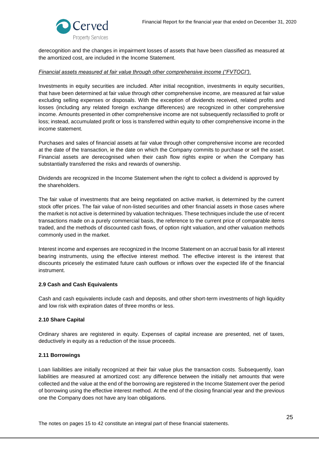

derecognition and the changes in impairment losses of assets that have been classified as measured at the amortized cost, are included in the Income Statement.

## *Financial assets measured at fair value through other comprehensive income ("FVTOCI").*

Investments in equity securities are included. After initial recognition, investments in equity securities, that have been determined at fair value through other comprehensive income, are measured at fair value excluding selling expenses or disposals. With the exception of dividends received, related profits and losses (including any related foreign exchange differences) are recognized in other comprehensive income. Amounts presented in other comprehensive income are not subsequently reclassified to profit or loss; instead, accumulated profit or loss is transferred within equity to other comprehensive income in the income statement.

Purchases and sales of financial assets at fair value through other comprehensive income are recorded at the date of the transaction, ie the date on which the Company commits to purchase or sell the asset. Financial assets are derecognised when their cash flow rights expire or when the Company has substantially transferred the risks and rewards of ownership.

Dividends are recognized in the Income Statement when the right to collect a dividend is approved by the shareholders.

The fair value of investments that are being negotiated on active market, is determined by the current stock offer prices. The fair value of non-listed securities and other financial assets in those cases where the market is not active is determined by valuation techniques. These techniques include the use of recent transactions made on a purely commercial basis, the reference to the current price of comparable items traded, and the methods of discounted cash flows, of option right valuation, and other valuation methods commonly used in the market.

Interest income and expenses are recognized in the Income Statement on an accrual basis for all interest bearing instruments, using the effective interest method. The effective interest is the interest that discounts pricesely the estimated future cash outflows or inflows over the expected life of the financial instrument.

#### <span id="page-24-0"></span>**2.9 Cash and Cash Equivalents**

Cash and cash equivalents include cash and deposits, and other short-term investments of high liquidity and low risk with expiration dates of three months or less.

## <span id="page-24-1"></span>**2.10 Share Capital**

Ordinary shares are registered in equity. Expenses of capital increase are presented, net of taxes, deductively in equity as a reduction of the issue proceeds.

#### <span id="page-24-2"></span>**2.11 Borrowings**

Loan liabilities are initially recognized at their fair value plus the transaction costs. Subsequently, loan liabilities are measured at amortized cost: any difference between the initially net amounts that were collected and the value at the end of the borrowing are registered in the Income Statement over the period of borrowing using the effective interest method. At the end of the closing financial year and the previous one the Company does not have any loan obligations.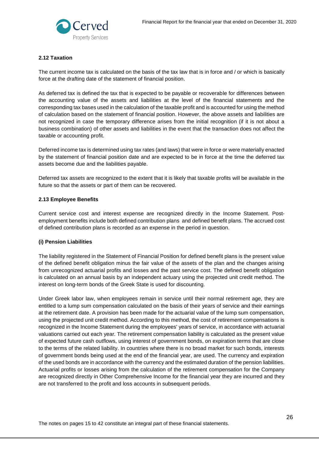

#### <span id="page-25-0"></span>**2.12 Taxation**

The current income tax is calculated on the basis of the tax law that is in force and / or which is basically force at the drafting date of the statement of financial position.

As deferred tax is defined the tax that is expected to be payable or recoverable for differences between the accounting value of the assets and liabilities at the level of the financial statements and the corresponding tax bases used in the calculation of the taxable profit and is accounted for using the method of calculation based on the statement of financial position. However, the above assets and liabilities are not recognized in case the temporary difference arises from the initial recognition (if it is not about a business combination) of other assets and liabilities in the event that the transaction does not affect the taxable or accounting profit.

Deferred income tax is determined using tax rates (and laws) that were in force or were materially enacted by the statement of financial position date and are expected to be in force at the time the deferred tax assets become due and the liabilities payable.

Deferred tax assets are recognized to the extent that it is likely that taxable profits will be available in the future so that the assets or part of them can be recovered.

#### <span id="page-25-1"></span>**2.13 Employee Benefits**

Current service cost and interest expense are recognized directly in the Income Statement. Postemployment benefits include both defined contribution plans and defined benefit plans. The accrued cost of defined contribution plans is recorded as an expense in the period in question.

#### **(i) Pension Liabilities**

The liability registered in the Statement of Financial Position for defined benefit plans is the present value of the defined benefit obligation minus the fair value of the assets of the plan and the changes arising from unrecognized actuarial profits and losses and the past service cost. The defined benefit obligation is calculated on an annual basis by an independent actuary using the projected unit credit method. The interest on long-term bonds of the Greek State is used for discounting.

Under Greek labor law, when employees remain in service until their normal retirement age, they are entitled to a lump sum compensation calculated on the basis of their years of service and their earnings at the retirement date. A provision has been made for the actuarial value of the lump sum compensation, using the projected unit credit method. According to this method, the cost of retirement compensations is recognized in the Income Statement during the employees' years of service, in accordance with actuarial valuations carried out each year. The retirement compensation liability is calculated as the present value of expected future cash outflows, using interest of government bonds, on expiration terms that are close to the terms of the related liability. In countries where there is no broad market for such bonds, interests of government bonds being used at the end of the financial year, are used. The currency and expiration of the used bonds are in accordance with the currency and the estimated duration of the pension liabilities. Actuarial profits or losses arising from the calculation of the retirement compensation for the Company are recognized directly in Other Comprehensive Income for the financial year they are incurred and they are not transferred to the profit and loss accounts in subsequent periods.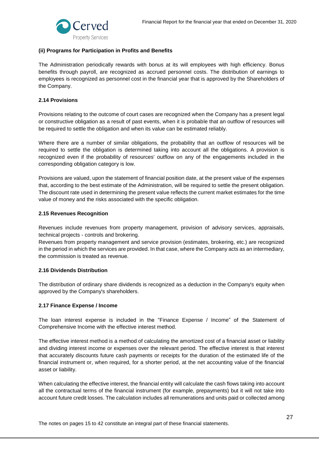

#### **(ii) Programs for Participation in Profits and Benefits**

The Administration periodically rewards with bonus at its will employees with high efficiency. Bonus benefits through payroll, are recognized as accrued personnel costs. The distribution of earnings to employees is recognized as personnel cost in the financial year that is approved by the Shareholders of the Company.

## <span id="page-26-0"></span>**2.14 Provisions**

Provisions relating to the outcome of court cases are recognized when the Company has a present legal or constructive obligation as a result of past events, when it is probable that an outflow of resources will be required to settle the obligation and when its value can be estimated reliably.

Where there are a number of similar obligations, the probability that an outflow of resources will be required to settle the obligation is determined taking into account all the obligations. A provision is recognized even if the probability of resources' outflow on any of the engagements included in the corresponding obligation category is low.

Provisions are valued, upon the statement of financial position date, at the present value of the expenses that, according to the best estimate of the Administration, will be required to settle the present obligation. The discount rate used in determining the present value reflects the current market estimates for the time value of money and the risks associated with the specific obligation.

#### <span id="page-26-1"></span>**2.15 Revenues Recognition**

Revenues include revenues from property management, provision of advisory services, appraisals, technical projects - controls and brokering.

Revenues from property management and service provision (estimates, brokering, etc.) are recognized in the period in which the services are provided. In that case, where the Company acts as an intermediary, the commission is treated as revenue.

## <span id="page-26-2"></span>**2.16 Dividends Distribution**

The distribution of ordinary share dividends is recognized as a deduction in the Company's equity when approved by the Company's shareholders.

## <span id="page-26-3"></span>**2.17 Finance Expense / Income**

The loan interest expense is included in the "Finance Expense / Income" of the Statement of Comprehensive Income with the effective interest method.

The effective interest method is a method of calculating the amortized cost of a financial asset or liability and dividing interest income or expenses over the relevant period. The effective interest is that interest that accurately discounts future cash payments or receipts for the duration of the estimated life of the financial instrument or, when required, for a shorter period, at the net accounting value of the financial asset or liability.

When calculating the effective interest, the financial entity will calculate the cash flows taking into account all the contractual terms of the financial instrument (for example, prepayments) but it will not take into account future credit losses. The calculation includes all remunerations and units paid or collected among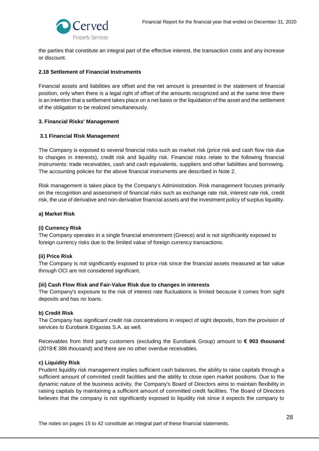

the parties that constitute an integral part of the effective interest, the transaction costs and any increase or discount.

#### <span id="page-27-0"></span>**2.18 Settlement of Financial Instruments**

Financial assets and liabilities are offset and the net amount is presented in the statement of financial position, only when there is a legal right of offset of the amounts recognized and at the same time there is an intention that a settlement takes place on a net basis or the liquidation of the asset and the settlement of the obligation to be realized simultaneously.

#### <span id="page-27-1"></span>**3. Financial Risks' Management**

#### <span id="page-27-2"></span>**3.1 Financial Risk Management**

The Company is exposed to several financial risks such as market risk (price risk and cash flow risk due to changes in interests), credit risk and liquidity risk. Financial risks relate to the following financial instruments: trade receivables, cash and cash equivalents, suppliers and other liabilities and borrowing. The accounting policies for the above financial instruments are described in Note 2.

Risk management is takes place by the Company's Administration. Risk management focuses primarily on the recognition and assessment of financial risks such as exchange rate risk, interest rate risk, credit risk, the use of derivative and non-derivative financial assets and the investment policy of surplus liquidity.

#### **a) Market Risk**

#### **(i) Currency Risk**

The Company operates in a single financial environment (Greece) and is not significantly exposed to foreign currency risks due to the limited value of foreign currency transactions.

## **(ii) Price Risk**

The Company is not significantly exposed to price risk since the financial assets measured at fair value through OCI are not considered significant.

#### **(iii) Cash Flow Risk and Fair-Value Risk due to changes in interests**

The Company's exposure to the risk of interest rate fluctuations is limited because it comes from sight deposits and has no loans.

#### **b) Credit Risk**

The Company has significant credit risk concentrations in respect of sight deposits, from the provision of services to Eurobank Ergasias S.A. as well.

Receivables from third party customers (excluding the Eurobank Group) amount to **€ 903 thousand** (2019:€ 386 thousand) and there are no other overdue receivables.

#### **c) Liquidity Risk**

Prudent liquidity risk management implies sufficient cash balances, the ability to raise capitals through a sufficient amount of commited credit facilities and the ability to close open market positions. Due to the dynamic nature of the business activity, the Company's Board of Directors aims to maintain flexibility in raising capitals by maintaining a sufficient amount of committed credit facilities. The Board of Directors believes that the company is not significantly exposed to liquidity risk since it expects the company to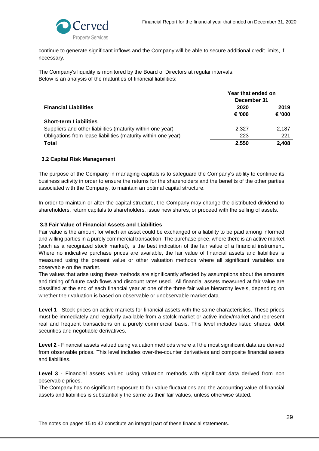

continue to generate significant inflows and the Company will be able to secure additional credit limits, if necessary.

The Company's liquidity is monitored by the Board of Directors at regular intervals. Below is an analysis of the maturities of financial liabilities:

|                                                               | Year that ended on |        |  |
|---------------------------------------------------------------|--------------------|--------|--|
|                                                               | December 31        |        |  |
| <b>Financial Liabilities</b>                                  | 2020               | 2019   |  |
|                                                               | € '000             | € '000 |  |
| <b>Short-term Liabilities</b>                                 |                    |        |  |
| Suppliers and other liabilities (maturity within one year)    | 2.327              | 2,187  |  |
| Obligations from lease liabilities (maturity within one year) | 223                | 221    |  |
| <b>Total</b>                                                  | 2.550              | 2,408  |  |

## <span id="page-28-0"></span>**3.2 Capital Risk Management**

The purpose of the Company in managing capitals is to safeguard the Company's ability to continue its business activity in order to ensure the returns for the shareholders and the benefits of the other parties associated with the Company, to maintain an optimal capital structure.

In order to maintain or alter the capital structure, the Company may change the distributed dividend to shareholders, return capitals to shareholders, issue new shares, or proceed with the selling of assets.

## <span id="page-28-1"></span>**3.3 Fair Value of Financial Assets and Liabilities**

Fair value is the amount for which an asset could be exchanged or a liability to be paid among informed and willing parties in a purely commercial transaction. The purchase price, where there is an active market (such as a recognized stock market), is the best indication of the fair value of a financial instrument. Where no indicative purchase prices are available, the fair value of financial assets and liabilities is measured using the present value or other valuation methods where all significant variables are observable on the market.

The values that arise using these methods are significantly affected by assumptions about the amounts and timing of future cash flows and discount rates used. All financial assets measured at fair value are classified at the end of each financial year at one of the three fair value hierarchy levels, depending on whether their valuation is based on observable or unobservable market data.

**Level 1** - Stock prices on active markets for financial assets with the same characteristics. These prices must be immediately and regularly available from a stofck market or active index/market and represent real and frequent transactions on a purely commercial basis. This level includes listed shares, debt securities and negotiable derivatives.

**Level 2** - Financial assets valued using valuation methods where all the most significant data are derived from observable prices. This level includes over-the-counter derivatives and composite financial assets and liabilities.

**Level 3** - Financial assets valued using valuation methods with significant data derived from non observable prices.

The Company has no significant exposure to fair value fluctuations and the accounting value of financial assets and liabilities is substantially the same as their fair values, unless otherwise stated.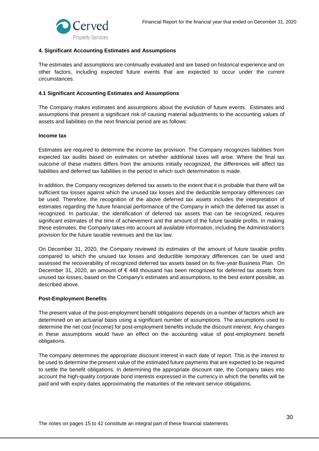

#### <span id="page-29-0"></span>**4. Significant Accounting Estimates and Assumptions**

The estimates and assumptions are continually evaluated and are based on historical experience and on other factors, including expected future events that are expected to occur under the current circumstances.

#### <span id="page-29-1"></span>**4.1 Significant Accounting Estimates and Assumptions**

The Company makes estimates and assumptions about the evolution of future events. Estimates and assumptions that present a significant risk of causing material adjustments to the accounting values of assets and liabilities on the next financial period are as follows:

#### **Income tax**

Estimates are required to determine the income tax provision. The Company recognizes liabilities from expected tax audits based on estimates on whether additional taxes will arise. Where the final tax outcome of these matters differs from the amounts initially recognized, the differences will affect tax liabilities and deferred tax liabilities in the period in which such determination is made.

In addition, the Company recognizes deferred tax assets to the extent that it is probable that there will be sufficient tax losses against which the unused tax losses and the deductible temporary differences can be used. Therefore, the recognition of the above deferred tax assets includes the interpretation of estimates regarding the future financial performance of the Company in which the deferred tax asset is recognized. In particular, the identification of deferred tax assets that can be recognized, requires significant estimates of the time of achievement and the amount of the future taxable profits. In making these estimates, the Company takes into account all available information, including the Administration's provision for the future taxable revenues and the tax law.

On December 31, 2020, the Company reviewed its estimates of the amount of future taxable profits compared to which the unused tax losses and deductible temporary differences can be used and assessed the recoverability of recognized deferred tax assets based on its five-year Business Plan. On December 31, 2020, an amount of  $\epsilon$  448 thousand has been recognized for deferred tax assets from unused tax losses, based on the Company's estimates and assumptions, to the best extent possible, as described above.

#### **Post-Employment Benefits**

The present value of the post-employment benafit obligations depends on a number of factors which are determined on an actuarial basis using a significant number of assumptions. The assumptions used to determine the net cost (income) for post-employment benefits include the discount interest. Any changes in these assumptions would have an effect on the accounting value of post-employment benefit obligations.

The company determines the appropriate discount interest in each date of report. This is the interest to be used to determine the present value of the estimated future payments that are expected to be required to settle the benefit obligations. In determining the appropriate discount rate, the Company takes into account the high-quality corporate bond interests expressed in the currency in which the benefits will be paid and with expiry dates approximating the maturities of the relevant service obligations.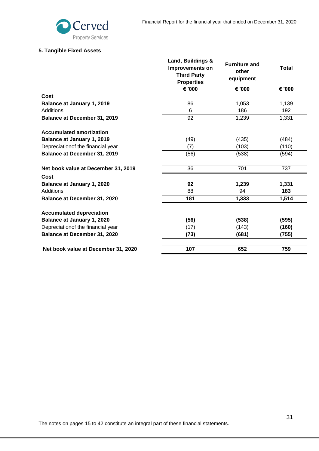

## <span id="page-30-0"></span>**5. Tangible Fixed Assets**

|                                                                          | Land, Buildings &<br><b>Improvements on</b><br><b>Third Party</b><br><b>Properties</b> | <b>Furniture and</b><br>other<br>equipment | <b>Total</b> |
|--------------------------------------------------------------------------|----------------------------------------------------------------------------------------|--------------------------------------------|--------------|
|                                                                          | € '000                                                                                 | € '000                                     | € '000       |
| Cost                                                                     |                                                                                        |                                            |              |
| Balance at January 1, 2019                                               | 86                                                                                     | 1,053                                      | 1,139        |
| <b>Additions</b>                                                         | 6                                                                                      | 186                                        | 192          |
| <b>Balance at December 31, 2019</b>                                      | 92                                                                                     | 1,239                                      | 1,331        |
| <b>Accumulated amortization</b>                                          |                                                                                        |                                            |              |
|                                                                          |                                                                                        |                                            |              |
| Balance at January 1, 2019                                               | (49)                                                                                   | (435)                                      | (484)        |
| Depreciationof the financial year<br><b>Balance at December 31, 2019</b> | (7)                                                                                    | (103)                                      | (110)        |
|                                                                          | (56)                                                                                   | (538)                                      | (594)        |
| Net book value at December 31, 2019                                      | 36                                                                                     | 701                                        | 737          |
| Cost                                                                     |                                                                                        |                                            |              |
| Balance at January 1, 2020                                               | 92                                                                                     | 1,239                                      | 1,331        |
| Additions                                                                | 88                                                                                     | 94                                         | 183          |
| Balance at December 31, 2020                                             | 181                                                                                    | 1,333                                      | 1,514        |
| <b>Accumulated depreciation</b>                                          |                                                                                        |                                            |              |
| Balance at January 1, 2020                                               | (56)                                                                                   | (538)                                      | (595)        |
| Depreciationof the financial year                                        | (17)                                                                                   | (143)                                      | (160)        |
| Balance at December 31, 2020                                             | (73)                                                                                   | (681)                                      | (755)        |
|                                                                          |                                                                                        |                                            |              |
| Net book value at December 31, 2020                                      | 107                                                                                    | 652                                        | 759          |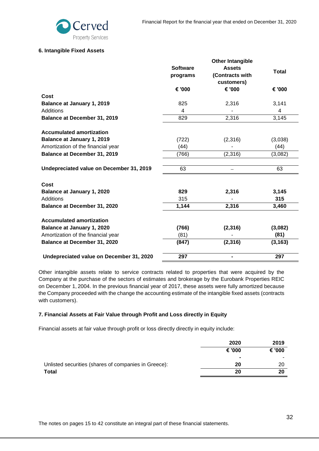

## <span id="page-31-0"></span>**6. Intangible Fixed Assets**

|                                          | <b>Software</b><br>programs | <b>Other Intangible</b><br><b>Assets</b><br>(Contracts with | <b>Total</b> |
|------------------------------------------|-----------------------------|-------------------------------------------------------------|--------------|
|                                          | € '000                      | customers)<br>€ '000                                        | € '000       |
| Cost                                     |                             |                                                             |              |
| Balance at January 1, 2019               | 825                         | 2,316                                                       | 3,141        |
| Additions                                | 4                           |                                                             | 4            |
| Balance at December 31, 2019             | 829                         | 2,316                                                       | 3,145        |
|                                          |                             |                                                             |              |
| <b>Accumulated amortization</b>          |                             |                                                             |              |
| Balance at January 1, 2019               | (722)                       | (2,316)                                                     | (3,038)      |
| Amortization of the financial year       | (44)                        |                                                             | (44)         |
| Balance at December 31, 2019             | (766)                       | (2,316)                                                     | (3,082)      |
|                                          |                             |                                                             |              |
| Undepreciated value on December 31, 2019 | 63                          |                                                             | 63           |
| Cost                                     |                             |                                                             |              |
| Balance at January 1, 2020               | 829                         | 2,316                                                       | 3,145        |
| Additions                                | 315                         |                                                             | 315          |
| Balance at December 31, 2020             | 1,144                       | 2,316                                                       | 3,460        |
|                                          |                             |                                                             |              |
| <b>Accumulated amortization</b>          |                             |                                                             |              |
| Balance at January 1, 2020               | (766)                       | (2, 316)                                                    | (3,082)      |
| Amortization of the financial year       | (81)                        |                                                             | (81)         |
| Balance at December 31, 2020             | (847)                       | (2, 316)                                                    | (3, 163)     |
| Undepreciated value on December 31, 2020 | 297                         |                                                             | 297          |
|                                          |                             |                                                             |              |

Other intangible assets relate to service contracts related to properties that were acquired by the Company at the purchase of the sectors of estimates and brokerage by the Eurobank Properties REIC on December 1, 2004. In the previous financial year of 2017, these assets were fully amortized because the Company proceeded with the change the accounting estimate of the intangible fixed assets (contracts with customers).

## <span id="page-31-1"></span>**7. Financial Assets at Fair Value through Profit and Loss directly in Equity**

Financial assets at fair value through profit or loss directly directly in equity include:

|                                                      | 2020           | 2019   |
|------------------------------------------------------|----------------|--------|
|                                                      | € '000         | € '000 |
|                                                      | $\blacksquare$ |        |
| Unlisted securities (shares of companies in Greece): | 20             | 20     |
| Total                                                | 20             | 20     |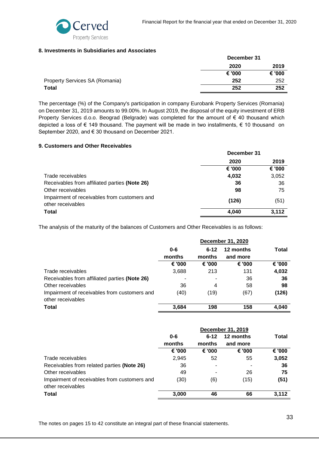

## <span id="page-32-0"></span>**8. Investments in Subsidiaries and Associates**

|                                | December 31 |        |
|--------------------------------|-------------|--------|
|                                | 2020        | 2019   |
|                                | € '000      | € '000 |
| Property Services SA (Romania) | 252         | 252    |
| <b>Total</b>                   | 252         | 252    |

The percentage (%) of the Company's participation in company Eurobank Property Services (Romania) on December 31, 2019 amounts to 99.00%. In August 2019, the disposal of the equity investment of ERB Property Services d.o.o. Beograd (Belgrade) was completed for the amount of € 40 thousand which depicted a loss of € 149 thousand. The payment will be made in two installments,  $\epsilon$  10 thousand on September 2020, and € 30 thousand on December 2021.

#### <span id="page-32-1"></span>**9. Customers and Other Receivables**

|                                                                   | December 31 |        |
|-------------------------------------------------------------------|-------------|--------|
|                                                                   | 2020        | 2019   |
|                                                                   | € '000      | € '000 |
| Trade receivables                                                 | 4,032       | 3,052  |
| Receivables from affiliated parties (Note 26)                     | 36          | 36     |
| Other receivables                                                 | 98          | 75     |
| Impairment of receivables from customers and<br>other receivables | (126)       | (51)   |
| <b>Total</b>                                                      | 4.040       | 3,112  |

The analysis of the maturity of the balances of Customers and Other Receivables is as follows:

|                                                                   | December 31, 2020 |                    |                       |        |
|-------------------------------------------------------------------|-------------------|--------------------|-----------------------|--------|
|                                                                   | $0 - 6$<br>months | $6 - 12$<br>months | 12 months<br>and more | Total  |
|                                                                   | € '000            | € '000             | € '000                | € '000 |
| Trade receivables                                                 | 3,688             | 213                | 131                   | 4,032  |
| Receivables from affiliated parties (Note 26)                     |                   | ۰                  | 36                    | 36     |
| Other receivables                                                 | 36                | 4                  | 58                    | 98     |
| Impairment of receivables from customers and<br>other receivables | (40)              | (19)               | (67)                  | (126)  |
| <b>Total</b>                                                      | 3,684             | 198                | 158                   | 4,040  |

|                                                                   | December 31, 2019 |          |           |              |
|-------------------------------------------------------------------|-------------------|----------|-----------|--------------|
|                                                                   | $0 - 6$           | $6 - 12$ | 12 months | <b>Total</b> |
|                                                                   | months            | months   | and more  |              |
|                                                                   | € '000            | € '000   | € '000    | € '000       |
| Trade receivables                                                 | 2,945             | 52       | 55        | 3,052        |
| Receivables from related parties (Note 26)                        | 36                | $\sim$   |           | 36           |
| Other receivables                                                 | 49                | ۰        | 26        | 75           |
| Impairment of receivables from customers and<br>other receivables | (30)              | (6)      | (15)      | (51)         |
| <b>Total</b>                                                      | 3,000             | 46       | 66        | 3,112        |

The notes on pages 15 to 42 constitute an integral part of these financial statements.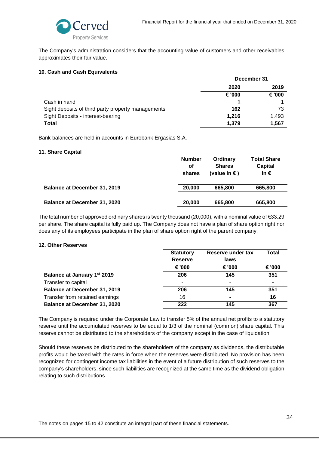

The Company's administration considers that the accounting value of customers and other receivables approximates their fair value.

## <span id="page-33-0"></span>**10. Cash and Cash Equivalents**

|                                                    | December 31 |        |
|----------------------------------------------------|-------------|--------|
|                                                    | 2020        | 2019   |
|                                                    | € '000      | € '000 |
| Cash in hand                                       |             |        |
| Sight deposits of third party property managements | 162         | 73     |
| Sight Deposits - interest-bearing                  | 1.216       | 1.493  |
| <b>Total</b>                                       | 1.379       | 1,567  |

Bank balances are held in accounts in Eurobank Ergasias S.A.

#### <span id="page-33-1"></span>**11. Share Capital**

|                                     | <b>Number</b><br>Οf<br>shares | Ordinary<br><b>Shares</b><br>(value in €) | <b>Total Share</b><br>Capital<br>in $\epsilon$ |
|-------------------------------------|-------------------------------|-------------------------------------------|------------------------------------------------|
| <b>Balance at December 31, 2019</b> | 20,000                        | 665,800                                   | 665,800                                        |
| <b>Balance at December 31, 2020</b> | 20,000                        | 665,800                                   | 665,800                                        |

The total number of approved ordinary shares is twenty thousand (20,000), with a nominal value of €33.29 per share. The share capital is fully paid up. The Company does not have a plan of share option right nor does any of its employees participate in the plan of share option right of the parent company.

#### <span id="page-33-2"></span>**12. Other Reserves**

|                                         | <b>Statutory</b>         | Reserve under tax | Total          |
|-----------------------------------------|--------------------------|-------------------|----------------|
|                                         | <b>Reserve</b>           | laws              |                |
|                                         | € '000                   | € '000            | € '000         |
| Balance at January 1 <sup>st</sup> 2019 | 206                      | 145               | 351            |
| Transfer to capital                     | $\overline{\phantom{a}}$ | -                 | $\blacksquare$ |
| <b>Balance at December 31, 2019</b>     | 206                      | 145               | 351            |
| Transfer from retained earnings         | 16                       | -                 | 16             |
| <b>Balance at December 31, 2020</b>     | 222                      | 145               | 367            |

The Company is required under the Corporate Law to transfer 5% of the annual net profits to a statutory reserve until the accumulated reserves to be equal to 1/3 of the nominal (common) share capital. This reserve cannot be distributed to the shareholders of the company except in the case of liquidation.

Should these reserves be distributed to the shareholders of the company as dividends, the distributable profits would be taxed with the rates in force when the reserves were distributed. No provision has been recognized for contingent income tax liabilities in the event of a future distribution of such reserves to the company's shareholders, since such liabilities are recognized at the same time as the dividend obligation relating to such distributions.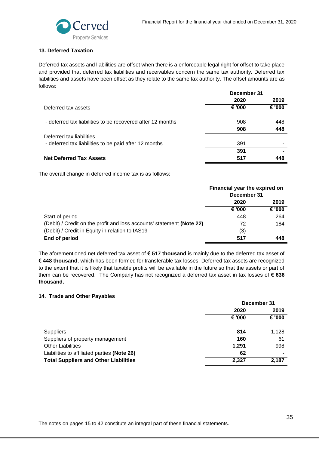

## <span id="page-34-0"></span>**13. Deferred Taxation**

Deferred tax assets and liabilities are offset when there is a enforceable legal right for offset to take place and provided that deferred tax liabilities and receivables concern the same tax authority. Deferred tax liabilities and assets have been offset as they relate to the same tax authority. The offset amounts are as follows:

|                                                            | December 31 |        |
|------------------------------------------------------------|-------------|--------|
|                                                            | 2020        | 2019   |
| Deferred tax assets                                        | € '000      | € '000 |
| - deferred tax liabilities to be recovered after 12 months | 908         | 448    |
|                                                            | 908         | 448    |
| Deferred tax liabilities                                   |             |        |
| - deferred tax liabilities to be paid after 12 months      | 391         |        |
|                                                            | 391         | ۰      |
| <b>Net Deferred Tax Assets</b>                             | 517         | 448    |

The overall change in deferred income tax is as follows:

|                                                                       | Financial year the expired on |        |
|-----------------------------------------------------------------------|-------------------------------|--------|
|                                                                       | December 31                   |        |
|                                                                       | 2020                          | 2019   |
|                                                                       | € '000                        | € '000 |
| Start of period                                                       | 448                           | 264    |
| (Debit) / Credit on the profit and loss accounts' statement (Note 22) | 72                            | 184    |
| (Debit) / Credit in Equity in relation to IAS19                       | (3)                           |        |
| End of period                                                         | 517                           | 448    |

The aforementioned net deferred tax asset of **€ 517 thousand** is mainly due to the deferred tax asset of **€ 448 thousand**, which has been formed for transferable tax losses. Deferred tax assets are recognized to the extent that it is likely that taxable profits will be available in the future so that the assets or part of them can be recovered. The Company has not recognized a deferred tax asset in tax losses of **€ 636 thousand.**

#### <span id="page-34-1"></span>**14. Trade and Other Payables**

|                                              | December 31 |        |
|----------------------------------------------|-------------|--------|
|                                              | 2020        | 2019   |
|                                              | € '000      | € '000 |
| <b>Suppliers</b>                             | 814         | 1,128  |
| Suppliers of property management             | 160         | 61     |
| <b>Other Liabilities</b>                     | 1.291       | 998    |
| Liabilities to affiliated parties (Note 26)  | 62          |        |
| <b>Total Suppliers and Other Liabilities</b> | 2,327       | 2,187  |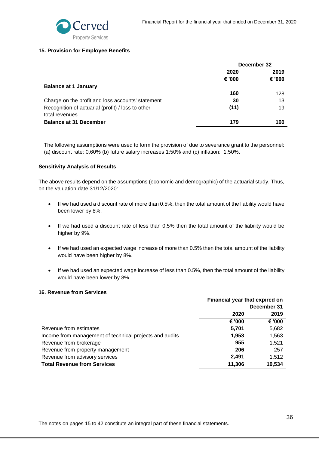

## <span id="page-35-0"></span>**15. Provision for Employee Benefits**

|                                                   | December 32 |        |
|---------------------------------------------------|-------------|--------|
|                                                   | 2020        | 2019   |
|                                                   | € '000      | € '000 |
| <b>Balance at 1 January</b>                       |             |        |
|                                                   | 160         | 128    |
| Charge on the profit and loss accounts' statement | 30          | 13     |
| Recognition of actuarial (profit) / loss to other | (11)        | 19     |
| total revenues                                    |             |        |
| <b>Balance at 31 December</b>                     | 179         | 160    |

The following assumptions were used to form the provision of due to severance grant to the personnel: (a) discount rate: 0,60% (b) future salary increases 1:50% and (c) inflation: 1.50%.

#### **Sensitivity Analysis of Results**

The above results depend on the assumptions (economic and demographic) of the actuarial study. Thus, on the valuation date 31/12/2020:

- If we had used a discount rate of more than 0.5%, then the total amount of the liability would have been lower by 8%.
- If we had used a discount rate of less than 0.5% then the total amount of the liability would be higher by 9%.
- If we had used an expected wage increase of more than 0.5% then the total amount of the liability would have been higher by 8%.
- If we had used an expected wage increase of less than 0.5%, then the total amount of the liability would have been lower by 8%.

#### <span id="page-35-1"></span>**16. Revenue from Services**

|                                                         | Financial year that expired on |             |
|---------------------------------------------------------|--------------------------------|-------------|
|                                                         |                                | December 31 |
|                                                         | 2020                           | 2019        |
|                                                         | € '000                         | € '000      |
| Revenue from estimates                                  | 5,701                          | 5,682       |
| Income from management of technical projects and audits | 1,953                          | 1,563       |
| Revenue from brokerage                                  | 955                            | 1,521       |
| Revenue from property management                        | 206                            | 257         |
| Revenue from advisory services                          | 2.491                          | 1.512       |
| <b>Total Revenue from Services</b>                      | 11,306                         | 10,534      |

The notes on pages 15 to 42 constitute an integral part of these financial statements.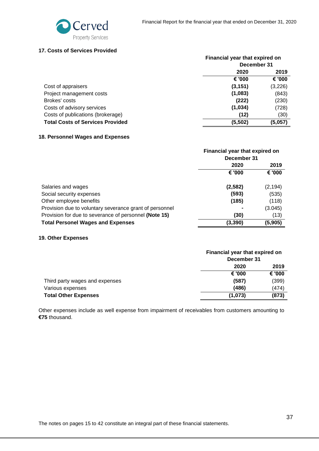

## <span id="page-36-0"></span>**17. Costs of Services Provided**

|                                         | Financial year that expired on |         |  |
|-----------------------------------------|--------------------------------|---------|--|
|                                         | December 31                    |         |  |
|                                         | 2020                           | 2019    |  |
|                                         | € '000                         | € '000  |  |
| Cost of appraisers                      | (3, 151)                       | (3,226) |  |
| Project management costs                | (1,083)                        | (843)   |  |
| Brokes' costs                           | (222)                          | (230)   |  |
| Costs of advisory services              | (1,034)                        | (728)   |  |
| Costs of publications (brokerage)       | (12)                           | (30)    |  |
| <b>Total Costs of Services Provided</b> | (5, 502)                       | (5,057) |  |

## <span id="page-36-1"></span>**18. Personnel Wages and Expenses**

|                                                         | Financial year that expired on |             |  |
|---------------------------------------------------------|--------------------------------|-------------|--|
|                                                         |                                | December 31 |  |
|                                                         | 2020                           | 2019        |  |
|                                                         | € '000                         | € '000      |  |
| Salaries and wages                                      | (2, 582)                       | (2, 194)    |  |
| Social security expenses                                | (593)                          | (535)       |  |
| Other employee benefits                                 | (185)                          | (118)       |  |
| Provision due to voluntary severance grant of personnel |                                | (3.045)     |  |
| Provision for due to severance of personnel (Note 15)   | (30)                           | (13)        |  |
| <b>Total Personel Wages and Expenses</b>                | (3, 390)                       | (5,905)     |  |

## <span id="page-36-2"></span>**19. Other Expenses**

|                                | Financial year that expired on |       |  |
|--------------------------------|--------------------------------|-------|--|
|                                | December 31                    |       |  |
|                                | 2019<br>2020                   |       |  |
|                                | € '000<br>€ '000               |       |  |
| Third party wages and expenses | (587)                          | (399) |  |
| Various expenses               | (486)                          | (474) |  |
| <b>Total Other Expenses</b>    | (1,073)                        | (873) |  |

Other expenses include as well expense from impairment of receivables from customers amounting to **€75** thousand.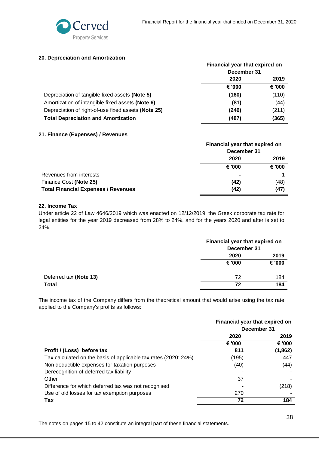

## <span id="page-37-0"></span>**20. Depreciation and Amortization**

|                                                     | Financial year that expired on<br>December 31 |        |
|-----------------------------------------------------|-----------------------------------------------|--------|
|                                                     |                                               |        |
|                                                     | 2020                                          | 2019   |
|                                                     | € '000                                        | € '000 |
| Depreciation of tangible fixed assets (Note 5)      | (160)                                         | (110)  |
| Amortization of intangible fixed assets (Note 6)    | (81)                                          | (44)   |
| Depreciation of right-of-use fixed assets (Note 25) | (246)                                         | (211)  |
| <b>Total Depreciation and Amortization</b>          | (487)                                         | (365)  |

#### <span id="page-37-1"></span>**21. Finance (Expenses) / Revenues**

|                                            | Financial year that expired on |        |  |
|--------------------------------------------|--------------------------------|--------|--|
|                                            | December 31                    |        |  |
|                                            | 2020                           | 2019   |  |
|                                            | € '000                         | € '000 |  |
| Revenues from interests                    | $\blacksquare$                 |        |  |
| Finance Cost (Note 25)                     | (42)                           | (48)   |  |
| <b>Total Financial Expenses / Revenues</b> | (42)                           | (47)   |  |

#### <span id="page-37-2"></span>**22. Income Tax**

Under article 22 of Law 4646/2019 which was enacted on 12/12/2019, the Greek corporate tax rate for legal entities for the year 2019 decreased from 28% to 24%, and for the years 2020 and after is set to 24%.

|                        |        | Financial year that expired on<br>December 31 |  |
|------------------------|--------|-----------------------------------------------|--|
|                        | 2020   | 2019                                          |  |
|                        | € '000 | € '000                                        |  |
| Deferred tax (Note 13) | 72     | 184                                           |  |
| <b>Total</b>           | 72     | 184                                           |  |

The income tax of the Company differs from the theoretical amount that would arise using the tax rate applied to the Company's profits as follows:

|                                                                 |        | Financial year that expired on<br>December 31 |  |
|-----------------------------------------------------------------|--------|-----------------------------------------------|--|
|                                                                 | 2020   | 2019                                          |  |
|                                                                 | € '000 | € '000                                        |  |
| Profit / (Loss) before tax                                      | 811    | (1,862)                                       |  |
| Tax calculated on the basis of applicable tax rates (2020: 24%) | (195)  | 447                                           |  |
| Non deductible expenses for taxation purposes                   | (40)   | (44)                                          |  |
| Derecognition of deferred tax liability                         |        |                                               |  |
| Other                                                           | 37     |                                               |  |
| Difference for which deferred tax was not recognised            |        | (218)                                         |  |
| Use of old losses for tax exemption purposes                    | 270    |                                               |  |
| Tax                                                             | 72     | 184                                           |  |

The notes on pages 15 to 42 constitute an integral part of these financial statements.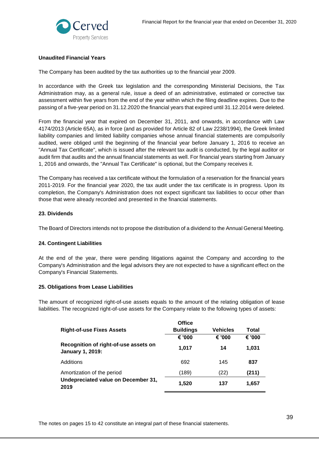

#### **Unaudited Financial Years**

The Company has been audited by the tax authorities up to the financial year 2009.

In accordance with the Greek tax legislation and the corresponding Ministerial Decisions, the Tax Administration may, as a general rule, issue a deed of an administrative, estimated or corrective tax assessment within five years from the end of the year within which the filing deadline expires. Due to the passing of a five-year period on 31.12.2020 the financial years that expired until 31.12.2014 were deleted.

From the financial year that expired on December 31, 2011, and onwards, in accordance with Law 4174/2013 (Article 65A), as in force (and as provided for Article 82 of Law 2238/1994), the Greek limited liability companies and limited liability companies whose annual financial statements are compulsorily audited, were obliged until the beginning of the financial year before January 1, 2016 to receive an "Annual Tax Certificate", which is issued after the relevant tax audit is conducted, by the legal auditor or audit firm that audits and the annual financial statements as well. For financial years starting from January 1, 2016 and onwards, the "Annual Tax Certificate" is optional, but the Company receives it.

The Company has received a tax certificate without the formulation of a reservation for the financial years 2011-2019. For the financial year 2020, the tax audit under the tax certificate is in progress. Upon its completion, the Company's Administration does not expect significant tax liabilities to occur other than those that were already recorded and presented in the financial statements.

#### <span id="page-38-0"></span>**23. Dividends**

The Board of Directors intends not to propose the distribution of a dividend to the Annual General Meeting.

#### <span id="page-38-1"></span>**24. Contingent Liabilities**

At the end of the year, there were pending litigations against the Company and according to the Company's Administration and the legal advisors they are not expected to have a significant effect on the Company's Financial Statements.

#### <span id="page-38-2"></span>**25. Obligations from Lease Liabilities**

The amount of recognized right-of-use assets equals to the amount of the relating obligation of lease liabilities. The recognized right-of-use assets for the Company relate to the following types of assets:

|                                             | <b>Office</b>              |                           |                 |
|---------------------------------------------|----------------------------|---------------------------|-----------------|
| <b>Right-of-use Fixes Assets</b>            | <b>Buildings</b><br>€ '000 | <b>Vehicles</b><br>€ '000 | Total<br>€ '000 |
| Recognition of right-of-use assets on       |                            |                           |                 |
| <b>January 1, 2019:</b>                     | 1.017                      | 14                        | 1,031           |
| Additions                                   | 692                        | 145                       | 837             |
| Amortization of the period                  | (189)                      | (22)                      | (211)           |
| Undepreciated value on December 31,<br>2019 | 1,520                      | 137                       | 1,657           |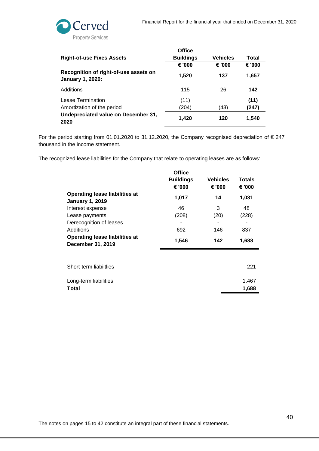

|                                                                  | <b>Office</b>    |                 |               |
|------------------------------------------------------------------|------------------|-----------------|---------------|
| <b>Right-of-use Fixes Assets</b>                                 | <b>Buildings</b> | <b>Vehicles</b> | Total         |
|                                                                  | € '000           | € '000          | € '000        |
| Recognition of right-of-use assets on<br><b>January 1, 2020:</b> | 1,520            | 137             | 1,657         |
| Additions                                                        | 115              | 26              | 142           |
| Lease Termination<br>Amortization of the period                  | (11)<br>(204)    | (43)            | (11)<br>(247) |
| Undepreciated value on December 31,<br>2020                      | 1.420            | 120             | 1,540         |

For the period starting from 01.01.2020 to 31.12.2020, the Company recognised depreciation of € 247 thousand in the income statement.

The recognized lease liabilities for the Company that relate to operating leases are as follows:

|                                                                   | <b>Office</b>    |                 |                |
|-------------------------------------------------------------------|------------------|-----------------|----------------|
|                                                                   | <b>Buildings</b> | <b>Vehicles</b> | <b>Totals</b>  |
|                                                                   | € '000           | € '000          | € '000         |
| <b>Operating lease liabilities at</b><br><b>January 1, 2019</b>   | 1,017            | 14              | 1,031          |
| Interest expense                                                  | 46               | 3               | 48             |
| Lease payments                                                    | (208)            | (20)            | (228)          |
| Derecognition of leases                                           |                  |                 |                |
| Additions                                                         | 692              | 146             | 837            |
| <b>Operating lease liabilities at</b><br><b>December 31, 2019</b> | 1,546            | 142             | 1,688          |
| Short-term liabiitlies                                            |                  |                 | 221            |
| Long-term liabilities<br>Total                                    |                  |                 | 1.467<br>1,688 |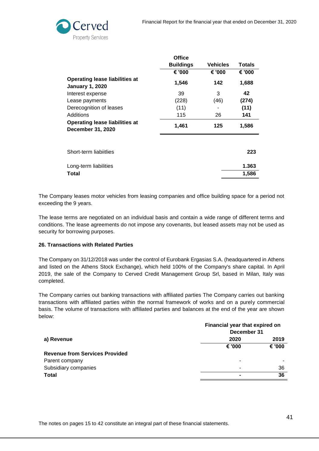

|                                                                   | <b>Office</b>    |                 |               |
|-------------------------------------------------------------------|------------------|-----------------|---------------|
|                                                                   | <b>Buildings</b> | <b>Vehicles</b> | <b>Totals</b> |
|                                                                   | € '000           | € '000          | € '000        |
| <b>Operating lease liabilities at</b><br><b>January 1, 2020</b>   | 1,546            | 142             | 1,688         |
| Interest expense                                                  | 39               | 3               | 42            |
| Lease payments                                                    | (228)            | (46)            | (274)         |
| Derecognition of leases                                           | (11)             |                 | (11)          |
| Additions                                                         | 115              | 26              | 141           |
| <b>Operating lease liabilities at</b><br><b>December 31, 2020</b> | 1,461            | 125             | 1,586         |
| Short-term liabiitlies                                            |                  |                 | 223           |
| Long-term liabilities                                             |                  |                 | 1.363         |
| Total                                                             |                  |                 | 1,586         |
|                                                                   |                  |                 |               |

The Company leases motor vehicles from leasing companies and office building space for a period not exceeding the 9 years.

The lease terms are negotiated on an individual basis and contain a wide range of different terms and conditions. The lease agreements do not impose any covenants, but leased assets may not be used as security for borrowing purposes.

#### <span id="page-40-0"></span>**26. Transactions with Related Parties**

The Company on 31/12/2018 was under the control of Eurobank Ergasias S.A. (headquartered in Athens and listed on the Athens Stock Exchange), which held 100% of the Company's share capital. In April 2019, the sale of the Company to Cerved Credit Management Group Srl, based in Milan, Italy was completed.

The Company carries out banking transactions with affiliated parties The Company carries out banking transactions with affiliated parties within the normal framework of works and on a purely commercial basis. The volume of transactions with affiliated parties and balances at the end of the year are shown below:

|                                       | Financial year that expired on<br>December 31 |        |
|---------------------------------------|-----------------------------------------------|--------|
|                                       |                                               |        |
| a) Revenue                            | 2020                                          | 2019   |
|                                       | € '000                                        | € '000 |
| <b>Revenue from Services Provided</b> |                                               |        |
| Parent company                        | ٠                                             |        |
| Subsidiary companies                  | ۰                                             | 36     |
| <b>Total</b>                          | $\blacksquare$                                | 36     |